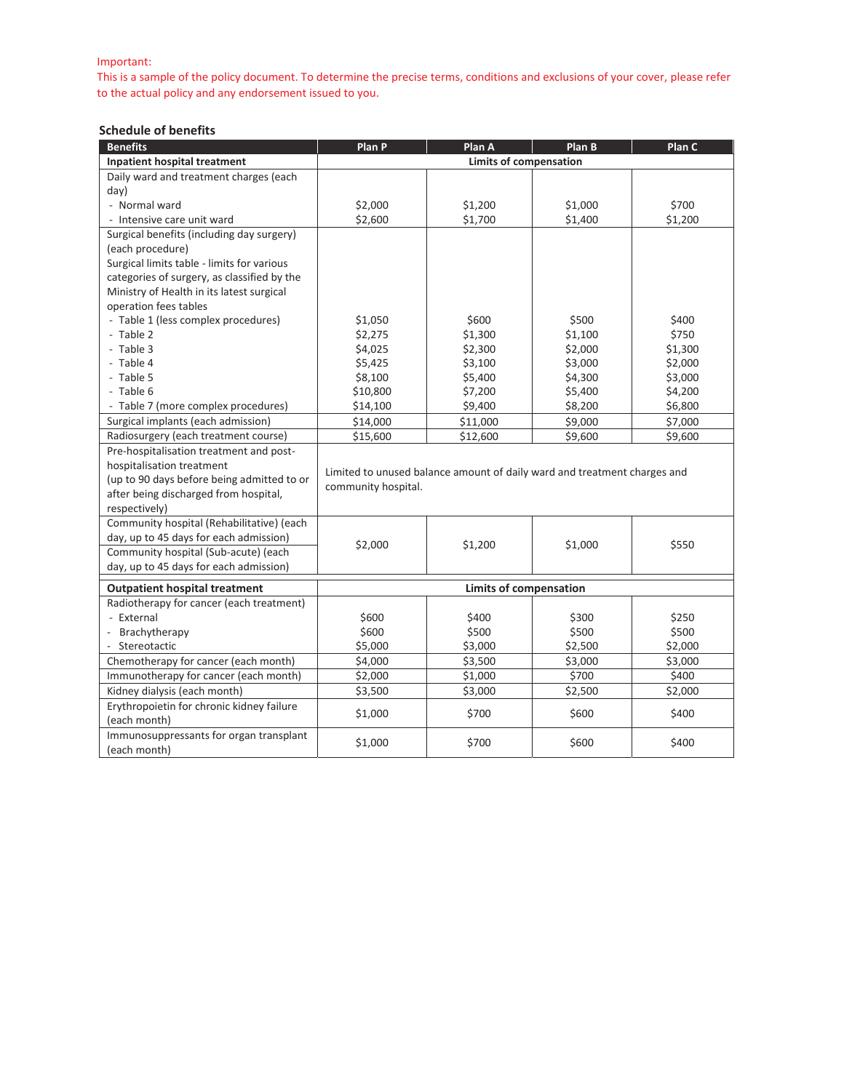#### Important:

This is a sample of the policy document. To determine the precise terms, conditions and exclusions of your cover, please refer to the actual policy and any endorsement issued to you.

### **Schedule of benefits**

| <b>Benefits</b>                             | Plan P                        | Plan A                                                                   | Plan B         | Plan C  |
|---------------------------------------------|-------------------------------|--------------------------------------------------------------------------|----------------|---------|
| Inpatient hospital treatment                | <b>Limits of compensation</b> |                                                                          |                |         |
| Daily ward and treatment charges (each      |                               |                                                                          |                |         |
| day)                                        |                               |                                                                          |                |         |
| - Normal ward                               | \$2,000                       | \$1,200                                                                  | \$1,000        | \$700   |
| - Intensive care unit ward                  | \$2,600                       | \$1,700                                                                  | \$1,400        | \$1,200 |
| Surgical benefits (including day surgery)   |                               |                                                                          |                |         |
| (each procedure)                            |                               |                                                                          |                |         |
| Surgical limits table - limits for various  |                               |                                                                          |                |         |
| categories of surgery, as classified by the |                               |                                                                          |                |         |
| Ministry of Health in its latest surgical   |                               |                                                                          |                |         |
| operation fees tables                       |                               |                                                                          |                |         |
| - Table 1 (less complex procedures)         | \$1,050                       | \$600                                                                    | \$500          | \$400   |
| - Table 2                                   | \$2,275                       | \$1,300                                                                  | \$1,100        | \$750   |
| - Table 3                                   | \$4,025                       | \$2,300                                                                  | \$2,000        | \$1,300 |
| - Table 4                                   | \$5,425                       | \$3,100                                                                  | \$3,000        | \$2,000 |
| - Table 5                                   | \$8,100                       | \$5,400                                                                  | \$4,300        | \$3,000 |
| - Table 6                                   | \$10,800                      | \$7,200                                                                  | \$5,400        | \$4,200 |
| - Table 7 (more complex procedures)         | \$14,100                      | \$9,400                                                                  | \$8,200        | \$6,800 |
| Surgical implants (each admission)          | \$14,000                      | \$11,000                                                                 | \$9,000        | \$7,000 |
| Radiosurgery (each treatment course)        | \$15,600                      | \$12,600                                                                 | \$9,600        | \$9,600 |
| Pre-hospitalisation treatment and post-     |                               |                                                                          |                |         |
| hospitalisation treatment                   |                               | Limited to unused balance amount of daily ward and treatment charges and |                |         |
| (up to 90 days before being admitted to or  | community hospital.           |                                                                          |                |         |
| after being discharged from hospital,       |                               |                                                                          |                |         |
| respectively)                               |                               |                                                                          |                |         |
| Community hospital (Rehabilitative) (each   |                               |                                                                          |                |         |
| day, up to 45 days for each admission)      | \$2,000                       | \$1,200                                                                  | \$1,000        | \$550   |
| Community hospital (Sub-acute) (each        |                               |                                                                          |                |         |
| day, up to 45 days for each admission)      |                               |                                                                          |                |         |
| <b>Outpatient hospital treatment</b>        | <b>Limits of compensation</b> |                                                                          |                |         |
| Radiotherapy for cancer (each treatment)    |                               |                                                                          |                |         |
| - External                                  | \$600                         | \$400                                                                    | \$300          | \$250   |
| Brachytherapy                               | \$600                         | \$500                                                                    | \$500          | \$500   |
| Stereotactic                                | \$5,000                       | \$3,000                                                                  | \$2,500        | \$2,000 |
| Chemotherapy for cancer (each month)        | \$4,000                       | \$3,500                                                                  | \$3,000        | \$3,000 |
| Immunotherapy for cancer (each month)       | \$2,000                       | \$1,000                                                                  | \$700          | \$400   |
| Kidney dialysis (each month)                | \$3,500                       | \$3,000                                                                  | \$2,500        | \$2,000 |
| Erythropoietin for chronic kidney failure   |                               |                                                                          |                | \$400   |
| (each month)                                | \$1,000                       |                                                                          | \$700<br>\$600 |         |
| Immunosuppressants for organ transplant     | \$1,000                       | \$700                                                                    | \$600          | \$400   |
| (each month)                                |                               |                                                                          |                |         |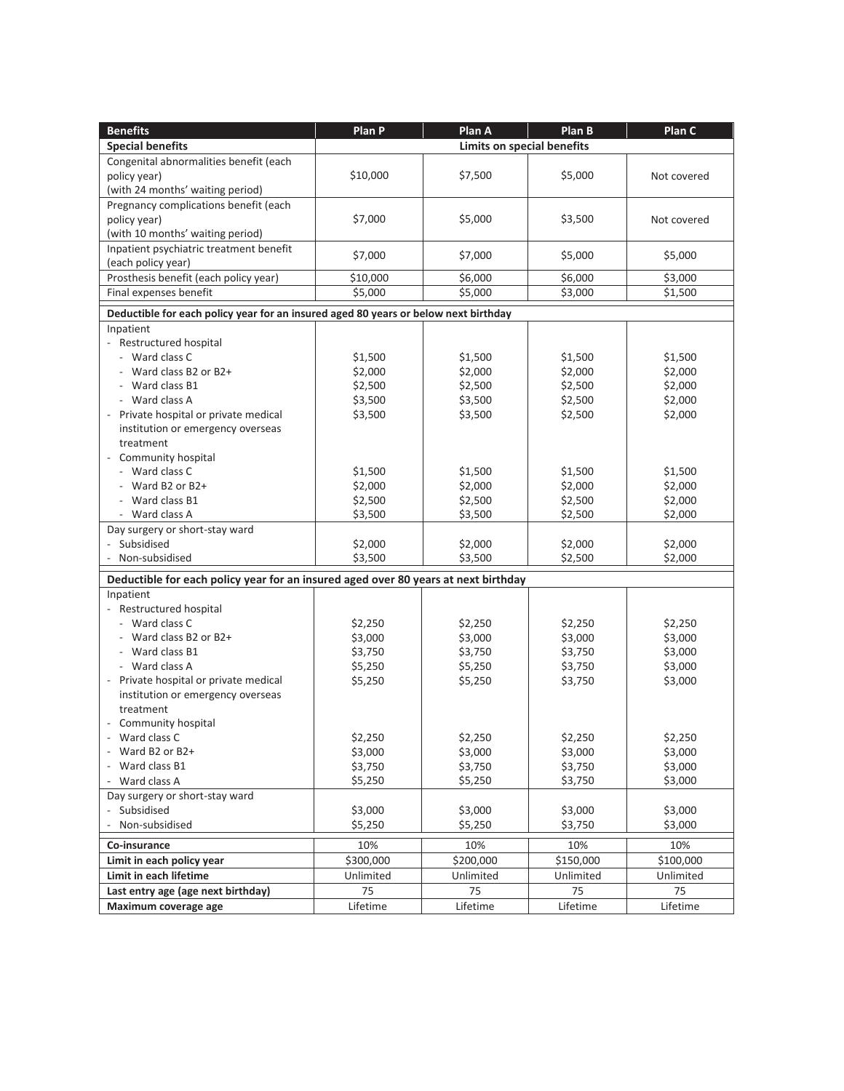| <b>Benefits</b>                                                                     | Plan P    | Plan A                            | Plan B    | Plan C      |
|-------------------------------------------------------------------------------------|-----------|-----------------------------------|-----------|-------------|
| <b>Special benefits</b>                                                             |           | <b>Limits on special benefits</b> |           |             |
| Congenital abnormalities benefit (each                                              |           |                                   |           |             |
| policy year)                                                                        | \$10,000  | \$7,500                           | \$5,000   | Not covered |
| (with 24 months' waiting period)                                                    |           |                                   |           |             |
| Pregnancy complications benefit (each                                               |           |                                   |           |             |
| policy year)                                                                        | \$7,000   | \$5,000                           | \$3,500   | Not covered |
| (with 10 months' waiting period)                                                    |           |                                   |           |             |
| Inpatient psychiatric treatment benefit                                             |           |                                   |           |             |
| (each policy year)                                                                  | \$7,000   | \$7,000                           | \$5,000   | \$5,000     |
| Prosthesis benefit (each policy year)                                               | \$10,000  | \$6,000                           | \$6,000   | \$3,000     |
| Final expenses benefit                                                              | \$5,000   | \$5,000                           | \$3,000   | \$1,500     |
|                                                                                     |           |                                   |           |             |
| Deductible for each policy year for an insured aged 80 years or below next birthday |           |                                   |           |             |
| Inpatient                                                                           |           |                                   |           |             |
| - Restructured hospital                                                             |           |                                   |           |             |
| - Ward class C                                                                      | \$1,500   | \$1,500                           | \$1,500   | \$1,500     |
| - Ward class B2 or B2+                                                              | \$2,000   | \$2,000                           | \$2,000   | \$2,000     |
| - Ward class B1                                                                     | \$2,500   | \$2,500                           | \$2,500   | \$2,000     |
| - Ward class A                                                                      | \$3,500   | \$3,500                           | \$2,500   | \$2,000     |
| Private hospital or private medical                                                 | \$3,500   | \$3,500                           | \$2,500   | \$2,000     |
| institution or emergency overseas                                                   |           |                                   |           |             |
| treatment                                                                           |           |                                   |           |             |
| Community hospital                                                                  |           |                                   |           |             |
| - Ward class C                                                                      | \$1,500   | \$1,500                           | \$1,500   | \$1,500     |
| Ward B2 or B2+                                                                      | \$2,000   | \$2,000                           | \$2,000   | \$2,000     |
| Ward class B1                                                                       | \$2,500   | \$2,500                           | \$2,500   | \$2,000     |
| - Ward class A                                                                      | \$3,500   | \$3,500                           | \$2,500   | \$2,000     |
| Day surgery or short-stay ward                                                      |           |                                   |           |             |
| Subsidised                                                                          | \$2,000   | \$2,000                           | \$2,000   | \$2,000     |
| Non-subsidised                                                                      | \$3,500   | \$3,500                           | \$2,500   | \$2,000     |
| Deductible for each policy year for an insured aged over 80 years at next birthday  |           |                                   |           |             |
| Inpatient                                                                           |           |                                   |           |             |
| - Restructured hospital                                                             |           |                                   |           |             |
| - Ward class C                                                                      | \$2,250   | \$2,250                           | \$2,250   | \$2,250     |
| Ward class B2 or B2+                                                                | \$3,000   | \$3,000                           | \$3,000   | \$3,000     |
| - Ward class B1                                                                     | \$3,750   | \$3,750                           | \$3,750   | \$3,000     |
| - Ward class A                                                                      | \$5,250   | \$5,250                           | \$3,750   | \$3,000     |
| - Private hospital or private medical                                               | \$5,250   | \$5,250                           | \$3,750   | \$3,000     |
| institution or emergency overseas                                                   |           |                                   |           |             |
| treatment                                                                           |           |                                   |           |             |
| Community hospital                                                                  |           |                                   |           |             |
| Ward class C                                                                        | \$2,250   | \$2,250                           | \$2,250   | \$2,250     |
| - Ward B2 or B2+                                                                    | \$3,000   | \$3,000                           | \$3,000   | \$3,000     |
| - Ward class B1                                                                     | \$3,750   | \$3,750                           | \$3,750   | \$3,000     |
| - Ward class A                                                                      | \$5,250   | \$5,250                           | \$3,750   | \$3,000     |
| Day surgery or short-stay ward                                                      |           |                                   |           |             |
| Subsidised                                                                          | \$3,000   | \$3,000                           | \$3,000   | \$3,000     |
| Non-subsidised<br>$\overline{\phantom{a}}$                                          | \$5,250   | \$5,250                           | \$3,750   | \$3,000     |
| Co-insurance                                                                        | 10%       | 10%                               | 10%       | 10%         |
| Limit in each policy year                                                           | \$300,000 | \$200,000                         | \$150,000 | \$100,000   |
| Limit in each lifetime                                                              | Unlimited | Unlimited                         | Unlimited | Unlimited   |
| Last entry age (age next birthday)                                                  | 75        | 75                                | 75        | 75          |
| Maximum coverage age                                                                | Lifetime  | Lifetime                          | Lifetime  | Lifetime    |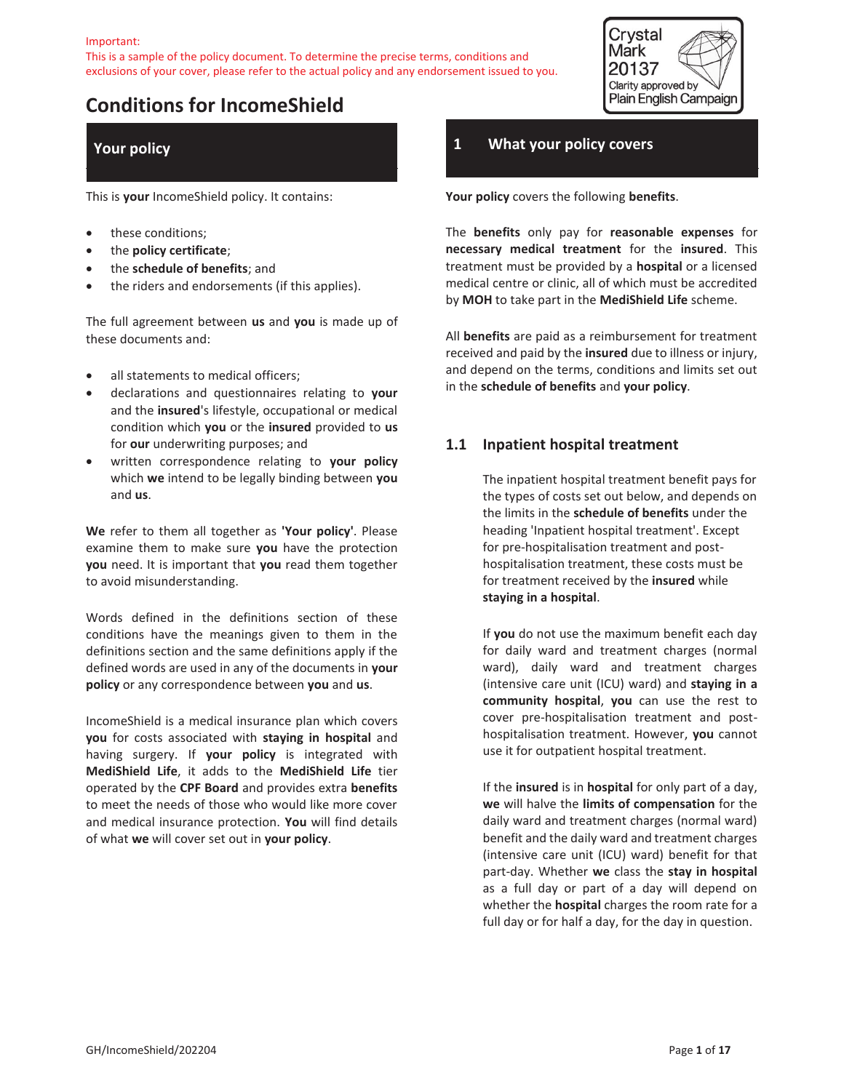

# **Conditions for IncomeShield**

# **Your policy**

This is **your** IncomeShield policy. It contains:

- these conditions;
- x the **policy certificate**;
- x the **schedule of benefits**; and
- the riders and endorsements (if this applies).

The full agreement between **us** and **you** is made up of these documents and:

- all statements to medical officers;
- x declarations and questionnaires relating to **your** and the **insured**'s lifestyle, occupational or medical condition which **you** or the **insured** provided to **us** for **our** underwriting purposes; and
- x written correspondence relating to **your policy** which **we** intend to be legally binding between **you** and **us**.

**We** refer to them all together as **'Your policy'**. Please examine them to make sure **you** have the protection **you** need. It is important that **you** read them together to avoid misunderstanding.

Words defined in the definitions section of these conditions have the meanings given to them in the definitions section and the same definitions apply if the defined words are used in any of the documents in **your policy** or any correspondence between **you** and **us**.

IncomeShield is a medical insurance plan which covers **you** for costs associated with **staying in hospital** and having surgery. If **your policy** is integrated with **MediShield Life**, it adds to the **MediShield Life** tier operated by the **CPF Board** and provides extra **benefits** to meet the needs of those who would like more cover and medical insurance protection. **You** will find details of what **we** will cover set out in **your policy**.

### **1 What your policy covers**

**Your policy** covers the following **benefits**.

The **benefits** only pay for **reasonable expenses** for **necessary medical treatment** for the **insured**. This treatment must be provided by a **hospital** or a licensed medical centre or clinic, all of which must be accredited by **MOH** to take part in the **MediShield Life** scheme.

All **benefits** are paid as a reimbursement for treatment received and paid by the **insured** due to illness or injury, and depend on the terms, conditions and limits set out in the **schedule of benefits** and **your policy**.

### **1.1 Inpatient hospital treatment**

The inpatient hospital treatment benefit pays for the types of costs set out below, and depends on the limits in the **schedule of benefits** under the heading 'Inpatient hospital treatment'. Except for pre-hospitalisation treatment and posthospitalisation treatment, these costs must be for treatment received by the **insured** while **staying in a hospital**.

If **you** do not use the maximum benefit each day for daily ward and treatment charges (normal ward), daily ward and treatment charges (intensive care unit (ICU) ward) and **staying in a community hospital**, **you** can use the rest to cover pre-hospitalisation treatment and posthospitalisation treatment. However, **you** cannot use it for outpatient hospital treatment.

If the **insured** is in **hospital** for only part of a day, **we** will halve the **limits of compensation** for the daily ward and treatment charges (normal ward) benefit and the daily ward and treatment charges (intensive care unit (ICU) ward) benefit for that part-day. Whether **we** class the **stay in hospital** as a full day or part of a day will depend on whether the **hospital** charges the room rate for a full day or for half a day, for the day in question.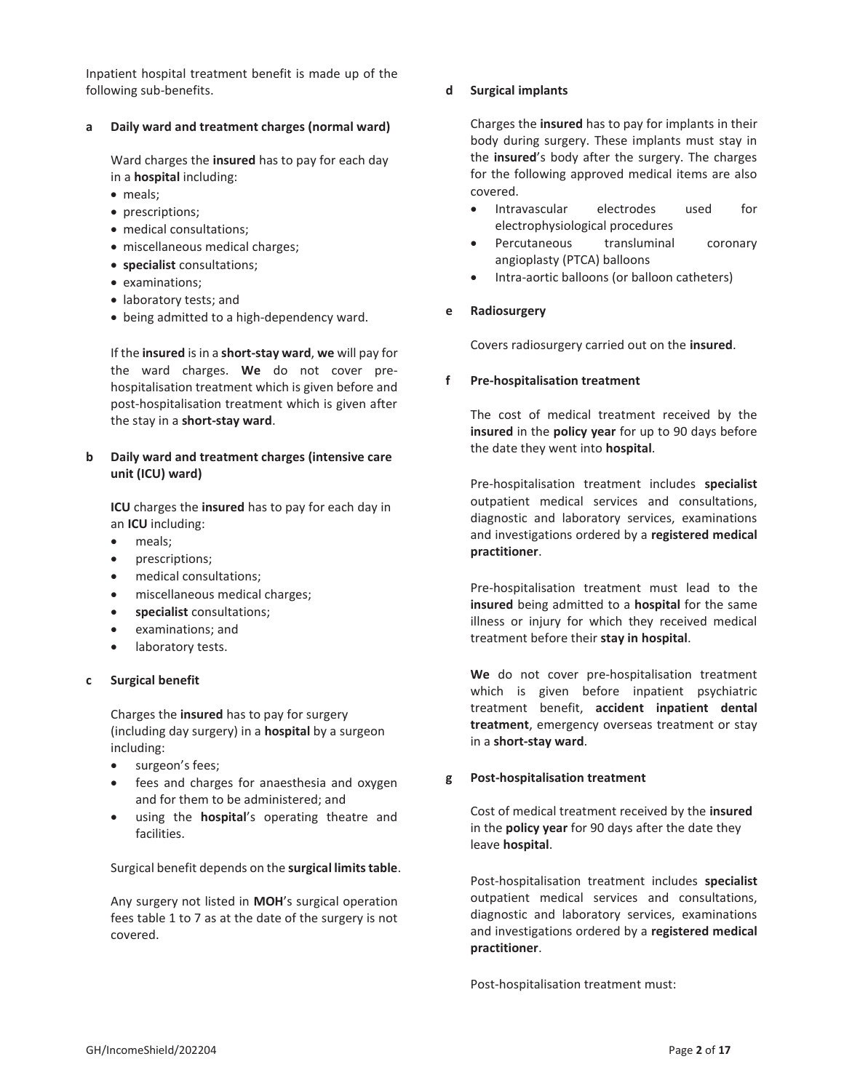Inpatient hospital treatment benefit is made up of the following sub-benefits.

#### **a Daily ward and treatment charges (normal ward)**

Ward charges the **insured** has to pay for each day in a **hospital** including:

- meals;
- prescriptions;
- medical consultations;
- miscellaneous medical charges;
- x **specialist** consultations;
- examinations;
- laboratory tests; and
- being admitted to a high-dependency ward.

If the **insured** is in a **short-stay ward**, **we** will pay for the ward charges. **We** do not cover prehospitalisation treatment which is given before and post-hospitalisation treatment which is given after the stay in a **short-stay ward**.

### **b Daily ward and treatment charges (intensive care unit (ICU) ward)**

**ICU** charges the **insured** has to pay for each day in an **ICU** including:

- meals;
- prescriptions;
- medical consultations;
- miscellaneous medical charges;
- x **specialist** consultations;
- examinations; and
- laboratory tests.

#### **c Surgical benefit**

Charges the **insured** has to pay for surgery (including day surgery) in a **hospital** by a surgeon including:

- surgeon's fees;
- fees and charges for anaesthesia and oxygen and for them to be administered; and
- using the **hospital**'s operating theatre and facilities.

Surgical benefit depends on the **surgical limits table**.

Any surgery not listed in **MOH**'s surgical operation fees table 1 to 7 as at the date of the surgery is not covered.

#### **d Surgical implants**

Charges the **insured** has to pay for implants in their body during surgery. These implants must stay in the **insured**'s body after the surgery. The charges for the following approved medical items are also covered.

- x Intravascular electrodes used for electrophysiological procedures
- Percutaneous transluminal coronary angioplasty (PTCA) balloons
- Intra-aortic balloons (or balloon catheters)

### **e Radiosurgery**

Covers radiosurgery carried out on the **insured**.

#### **f Pre-hospitalisation treatment**

The cost of medical treatment received by the **insured** in the **policy year** for up to 90 days before the date they went into **hospital**.

Pre-hospitalisation treatment includes **specialist** outpatient medical services and consultations, diagnostic and laboratory services, examinations and investigations ordered by a **registered medical practitioner**.

Pre-hospitalisation treatment must lead to the **insured** being admitted to a **hospital** for the same illness or injury for which they received medical treatment before their **stay in hospital**.

**We** do not cover pre-hospitalisation treatment which is given before inpatient psychiatric treatment benefit, **accident inpatient dental treatment**, emergency overseas treatment or stay in a **short-stay ward**.

#### **g Post-hospitalisation treatment**

Cost of medical treatment received by the **insured** in the **policy year** for 90 days after the date they leave **hospital**.

Post-hospitalisation treatment includes **specialist** outpatient medical services and consultations, diagnostic and laboratory services, examinations and investigations ordered by a **registered medical practitioner**.

Post-hospitalisation treatment must: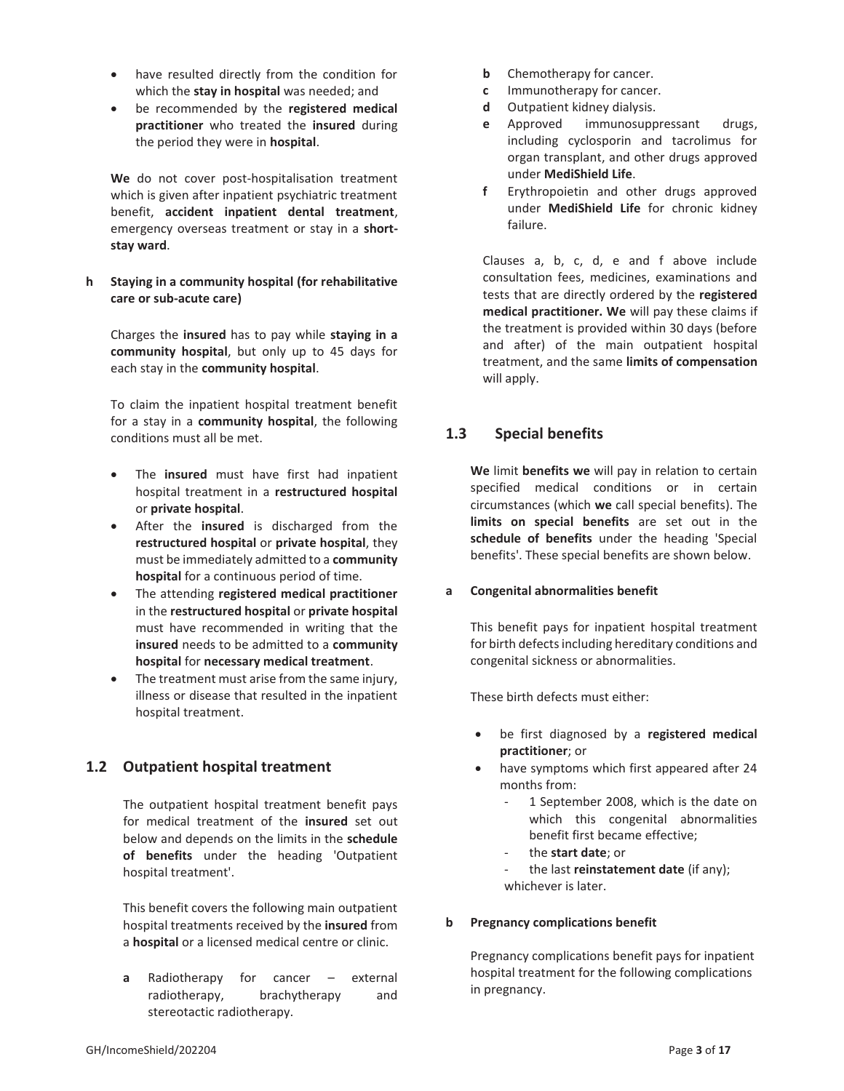- have resulted directly from the condition for which the **stay in hospital** was needed; and
- be recommended by the **registered medical practitioner** who treated the **insured** during the period they were in **hospital**.

**We** do not cover post-hospitalisation treatment which is given after inpatient psychiatric treatment benefit, **accident inpatient dental treatment**, emergency overseas treatment or stay in a **shortstay ward**.

**h Staying in a community hospital (for rehabilitative care or sub-acute care)**

Charges the **insured** has to pay while **staying in a community hospital**, but only up to 45 days for each stay in the **community hospital**.

To claim the inpatient hospital treatment benefit for a stay in a **community hospital**, the following conditions must all be met.

- The **insured** must have first had inpatient hospital treatment in a **restructured hospital** or **private hospital**.
- After the **insured** is discharged from the **restructured hospital** or **private hospital**, they must be immediately admitted to a **community hospital** for a continuous period of time.
- x The attending **registered medical practitioner** in the **restructured hospital** or **private hospital** must have recommended in writing that the **insured** needs to be admitted to a **community hospital** for **necessary medical treatment**.
- The treatment must arise from the same injury, illness or disease that resulted in the inpatient hospital treatment.

# **1.2 Outpatient hospital treatment**

The outpatient hospital treatment benefit pays for medical treatment of the **insured** set out below and depends on the limits in the **schedule of benefits** under the heading 'Outpatient hospital treatment'.

This benefit covers the following main outpatient hospital treatments received by the **insured** from a **hospital** or a licensed medical centre or clinic.

**a** Radiotherapy for cancer – external radiotherapy, brachytherapy and stereotactic radiotherapy.

- **b** Chemotherapy for cancer.
- **c** Immunotherapy for cancer.
- **d** Outpatient kidney dialysis.
- **e** Approved immunosuppressant drugs, including cyclosporin and tacrolimus for organ transplant, and other drugs approved under **MediShield Life**.
- **f** Erythropoietin and other drugs approved under **MediShield Life** for chronic kidney failure.

Clauses a, b, c, d, e and f above include consultation fees, medicines, examinations and tests that are directly ordered by the **registered medical practitioner. We** will pay these claims if the treatment is provided within 30 days (before and after) of the main outpatient hospital treatment, and the same **limits of compensation**  will apply.

# **1.3 Special benefits**

**We** limit **benefits we** will pay in relation to certain specified medical conditions or in certain circumstances (which **we** call special benefits). The **limits on special benefits** are set out in the **schedule of benefits** under the heading 'Special benefits'. These special benefits are shown below.

### **a Congenital abnormalities benefit**

This benefit pays for inpatient hospital treatment for birth defects including hereditary conditions and congenital sickness or abnormalities.

These birth defects must either:

- x be first diagnosed by a **registered medical practitioner**; or
- have symptoms which first appeared after 24 months from:
	- 1 September 2008, which is the date on which this congenital abnormalities benefit first became effective;
	- the **start date**; or
	- the last **reinstatement date** (if any); whichever is later.

### **b Pregnancy complications benefit**

Pregnancy complications benefit pays for inpatient hospital treatment for the following complications in pregnancy.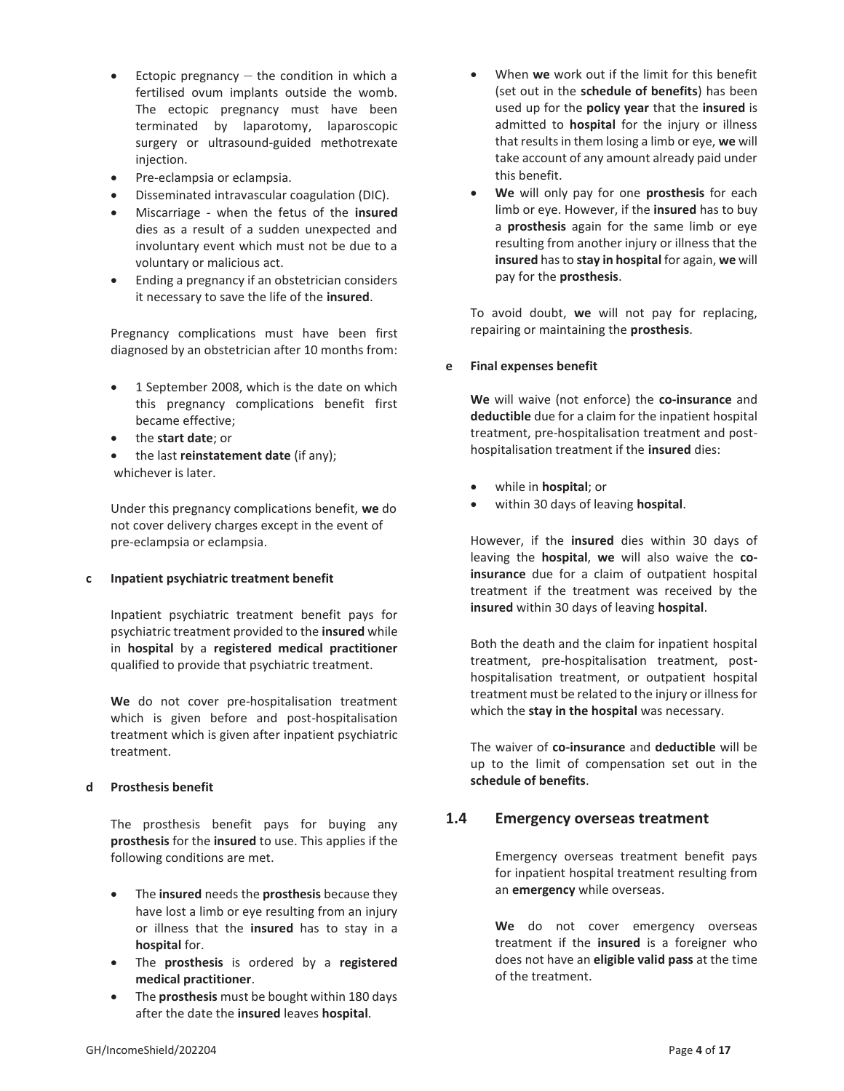- Ectopic pregnancy  $-$  the condition in which a fertilised ovum implants outside the womb. The ectopic pregnancy must have been terminated by laparotomy, laparoscopic surgery or ultrasound-guided methotrexate injection.
- Pre-eclampsia or eclampsia.
- Disseminated intravascular coagulation (DIC).
- x Miscarriage when the fetus of the **insured** dies as a result of a sudden unexpected and involuntary event which must not be due to a voluntary or malicious act.
- Ending a pregnancy if an obstetrician considers it necessary to save the life of the **insured**.

Pregnancy complications must have been first diagnosed by an obstetrician after 10 months from:

- 1 September 2008, which is the date on which this pregnancy complications benefit first became effective;
- **•** the **start date**; or
- x the last **reinstatement date** (if any); whichever is later.

Under this pregnancy complications benefit, **we** do not cover delivery charges except in the event of pre-eclampsia or eclampsia.

#### **c Inpatient psychiatric treatment benefit**

Inpatient psychiatric treatment benefit pays for psychiatric treatment provided to the **insured** while in **hospital** by a **registered medical practitioner** qualified to provide that psychiatric treatment.

**We** do not cover pre-hospitalisation treatment which is given before and post-hospitalisation treatment which is given after inpatient psychiatric treatment.

### **d Prosthesis benefit**

The prosthesis benefit pays for buying any **prosthesis** for the **insured** to use. This applies if the following conditions are met.

- x The **insured** needs the **prosthesis** because they have lost a limb or eye resulting from an injury or illness that the **insured** has to stay in a **hospital** for.
- x The **prosthesis** is ordered by a **registered medical practitioner**.
- The **prosthesis** must be bought within 180 days after the date the **insured** leaves **hospital**.
- x When **we** work out if the limit for this benefit (set out in the **schedule of benefits**) has been used up for the **policy year** that the **insured** is admitted to **hospital** for the injury or illness that results in them losing a limb or eye, **we** will take account of any amount already paid under this benefit.
- x **We** will only pay for one **prosthesis** for each limb or eye. However, if the **insured** has to buy a **prosthesis** again for the same limb or eye resulting from another injury or illness that the **insured** has to **stay in hospital** for again, **we** will pay for the **prosthesis**.

To avoid doubt, **we** will not pay for replacing, repairing or maintaining the **prosthesis**.

### **e Final expenses benefit**

**We** will waive (not enforce) the **co-insurance** and **deductible** due for a claim for the inpatient hospital treatment, pre-hospitalisation treatment and posthospitalisation treatment if the **insured** dies:

- x while in **hospital**; or
- x within 30 days of leaving **hospital**.

However, if the **insured** dies within 30 days of leaving the **hospital**, **we** will also waive the **coinsurance** due for a claim of outpatient hospital treatment if the treatment was received by the **insured** within 30 days of leaving **hospital**.

Both the death and the claim for inpatient hospital treatment, pre-hospitalisation treatment, posthospitalisation treatment, or outpatient hospital treatment must be related to the injury or illness for which the **stay in the hospital** was necessary.

The waiver of **co-insurance** and **deductible** will be up to the limit of compensation set out in the **schedule of benefits**.

# **1.4 Emergency overseas treatment**

Emergency overseas treatment benefit pays for inpatient hospital treatment resulting from an **emergency** while overseas.

We do not cover emergency overseas treatment if the **insured** is a foreigner who does not have an **eligible valid pass** at the time of the treatment.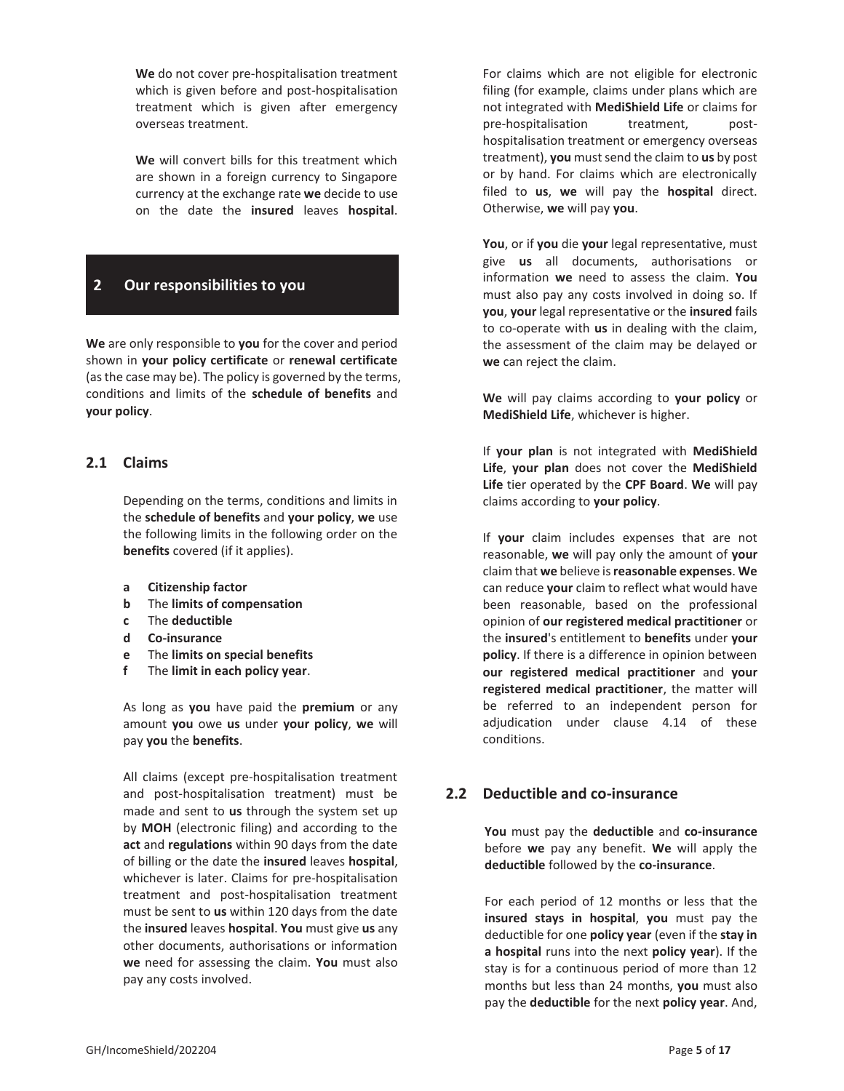**We** do not cover pre-hospitalisation treatment which is given before and post-hospitalisation treatment which is given after emergency overseas treatment.

**We** will convert bills for this treatment which are shown in a foreign currency to Singapore currency at the exchange rate **we** decide to use on the date the **insured** leaves **hospital**.

# **2 Our responsibilities to you**

**We** are only responsible to **you** for the cover and period shown in **your policy certificate** or **renewal certificate** (as the case may be). The policy is governed by the terms, conditions and limits of the **schedule of benefits** and **your policy**.

### **2.1 Claims**

Depending on the terms, conditions and limits in the **schedule of benefits** and **your policy**, **we** use the following limits in the following order on the **benefits** covered (if it applies).

- **a Citizenship factor**
- **b** The **limits of compensation**
- **c** The **deductible**
- **d Co-insurance**
- **e** The **limits on special benefits**
- **f** The **limit in each policy year**.

As long as **you** have paid the **premium** or any amount **you** owe **us** under **your policy**, **we** will pay **you** the **benefits**.

All claims (except pre-hospitalisation treatment and post-hospitalisation treatment) must be made and sent to **us** through the system set up by **MOH** (electronic filing) and according to the **act** and **regulations** within 90 days from the date of billing or the date the **insured** leaves **hospital**, whichever is later. Claims for pre-hospitalisation treatment and post-hospitalisation treatment must be sent to **us** within 120 days from the date the **insured** leaves **hospital**. **You** must give **us** any other documents, authorisations or information **we** need for assessing the claim. **You** must also pay any costs involved.

For claims which are not eligible for electronic filing (for example, claims under plans which are not integrated with **MediShield Life** or claims for pre-hospitalisation treatment, posthospitalisation treatment or emergency overseas treatment), **you** must send the claim to **us** by post or by hand. For claims which are electronically filed to **us**, **we** will pay the **hospital** direct. Otherwise, **we** will pay **you**.

**You**, or if **you** die **your** legal representative, must give **us** all documents, authorisations or information **we** need to assess the claim. **You** must also pay any costs involved in doing so. If **you**, **your** legal representative or the **insured** fails to co-operate with **us** in dealing with the claim, the assessment of the claim may be delayed or **we** can reject the claim.

**We** will pay claims according to **your policy** or **MediShield Life**, whichever is higher.

If **your plan** is not integrated with **MediShield Life**, **your plan** does not cover the **MediShield Life** tier operated by the **CPF Board**. **We** will pay claims according to **your policy**.

If **your** claim includes expenses that are not reasonable, **we** will pay only the amount of **your** claim that **we** believe is **reasonable expenses**. **We** can reduce **your** claim to reflect what would have been reasonable, based on the professional opinion of **our registered medical practitioner** or the **insured**'s entitlement to **benefits** under **your policy**. If there is a difference in opinion between **our registered medical practitioner** and **your registered medical practitioner**, the matter will be referred to an independent person for adjudication under clause 4.14 of these conditions.

### **2.2 Deductible and co-insurance**

**You** must pay the **deductible** and **co-insurance** before **we** pay any benefit. **We** will apply the **deductible** followed by the **co-insurance**.

For each period of 12 months or less that the **insured stays in hospital**, **you** must pay the deductible for one **policy year** (even if the **stay in a hospital** runs into the next **policy year**). If the stay is for a continuous period of more than 12 months but less than 24 months, **you** must also pay the **deductible** for the next **policy year**. And,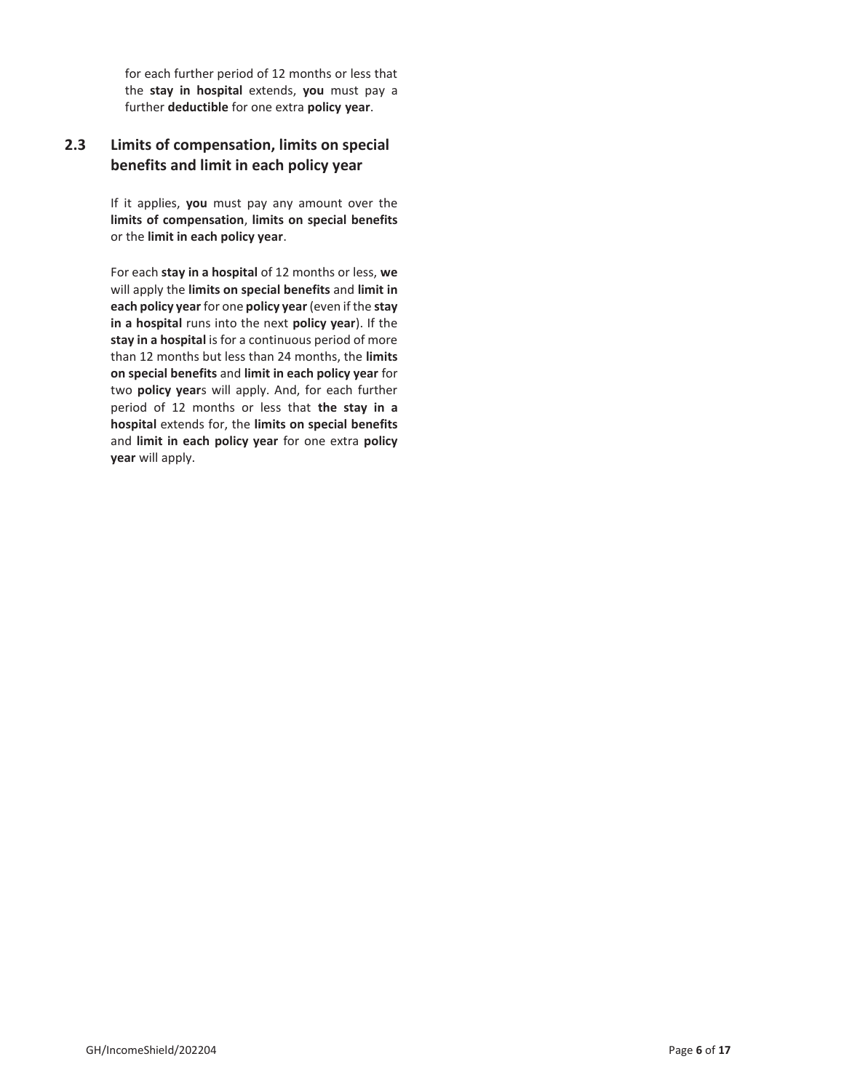for each further period of 12 months or less that the **stay in hospital** extends, **you** must pay a further **deductible** for one extra **policy year**.

# **2.3 Limits of compensation, limits on special benefits and limit in each policy year**

If it applies, **you** must pay any amount over the **limits of compensation**, **limits on special benefits** or the **limit in each policy year**.

For each **stay in a hospital** of 12 months or less, **we** will apply the **limits on special benefits** and **limit in each policy year** for one **policy year** (even if the **stay in a hospital** runs into the next **policy year**). If the **stay in a hospital** is for a continuous period of more than 12 months but less than 24 months, the **limits on special benefits** and **limit in each policy year** for two **policy year**s will apply. And, for each further period of 12 months or less that **the stay in a hospital** extends for, the **limits on special benefits** and **limit in each policy year** for one extra **policy year** will apply.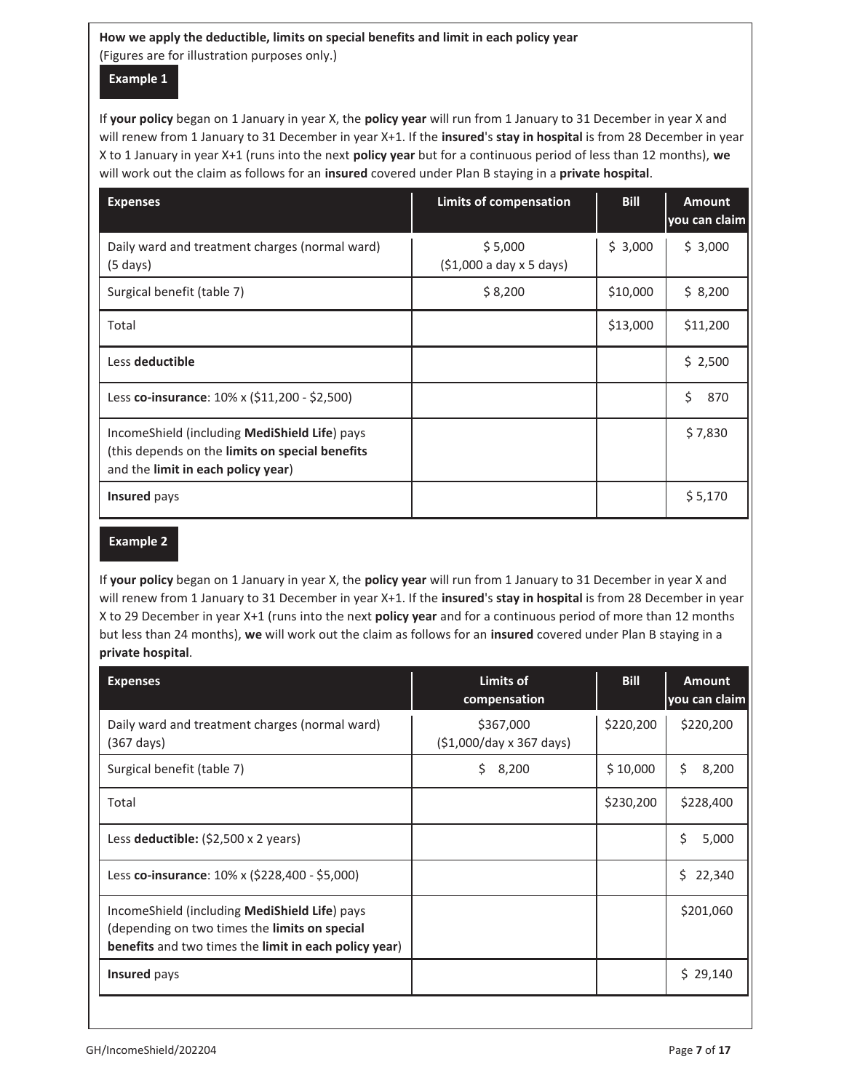# **How we apply the deductible, limits on special benefits and limit in each policy year**  (Figures are for illustration purposes only.)

# **Example 1**

 will renew from 1 January to 31 December in year X+1. If the **insured**'s **stay in hospital** is from 28 December in year If **your policy** began on 1 January in year X, the **policy year** will run from 1 January to 31 December in year X and X to 1 January in year X+1 (runs into the next **policy year** but for a continuous period of less than 12 months), **we** will work out the claim as follows for an **insured** covered under Plan B staying in a **private hospital**.

| <b>Expenses</b>                                                                                                                        | Limits of compensation             | <b>Bill</b> | <b>Amount</b><br>you can claim |
|----------------------------------------------------------------------------------------------------------------------------------------|------------------------------------|-------------|--------------------------------|
| Daily ward and treatment charges (normal ward)<br>$(5 \text{ days})$                                                                   | \$5,000<br>(51,000 a day x 5 days) | \$3,000     | \$3,000                        |
| Surgical benefit (table 7)                                                                                                             | \$8,200                            | \$10,000    | \$8,200                        |
| Total                                                                                                                                  |                                    | \$13,000    | \$11,200                       |
| Less deductible                                                                                                                        |                                    |             | \$2,500                        |
| Less co-insurance: 10% x (\$11,200 - \$2,500)                                                                                          |                                    |             | \$<br>870                      |
| IncomeShield (including MediShield Life) pays<br>(this depends on the limits on special benefits<br>and the limit in each policy year) |                                    |             | \$7,830                        |
| Insured pays                                                                                                                           |                                    |             | \$5,170                        |

### **Example 2**

If **your policy** began on 1 January in year X, the **policy year** will run from 1 January to 31 December in year X and will renew from 1 January to 31 December in year X+1. If the **insured**'s **stay in hospital** is from 28 December in year X to 29 December in year X+1 (runs into the next **policy year** and for a continuous period of more than 12 months but less than 24 months), **we** will work out the claim as follows for an **insured** covered under Plan B staying in a **private hospital**.

| <b>Expenses</b>                                                                                                                                                         | Limits of<br>compensation             | <b>Bill</b> | <b>Amount</b><br>you can claim |
|-------------------------------------------------------------------------------------------------------------------------------------------------------------------------|---------------------------------------|-------------|--------------------------------|
| Daily ward and treatment charges (normal ward)<br>$(367 \text{ days})$                                                                                                  | \$367,000<br>(\$1,000/day x 367 days) | \$220,200   | \$220,200                      |
| Surgical benefit (table 7)                                                                                                                                              | 8,200<br>Ś.                           | \$10,000    | Ś.<br>8,200                    |
| Total                                                                                                                                                                   |                                       | \$230,200   | \$228,400                      |
| Less deductible: $(52,500 \times 2 \text{ years})$                                                                                                                      |                                       |             | Ś<br>5,000                     |
| Less co-insurance: $10\% \times (5228,400 - 55,000)$                                                                                                                    |                                       |             | 22,340<br>Ś.                   |
| Income Shield (including <b>Medishield Life</b> ) pays<br>(depending on two times the <b>limits on special</b><br>benefits and two times the limit in each policy year) |                                       |             | \$201,060                      |
| <b>Insured</b> pays                                                                                                                                                     |                                       |             | \$29,140                       |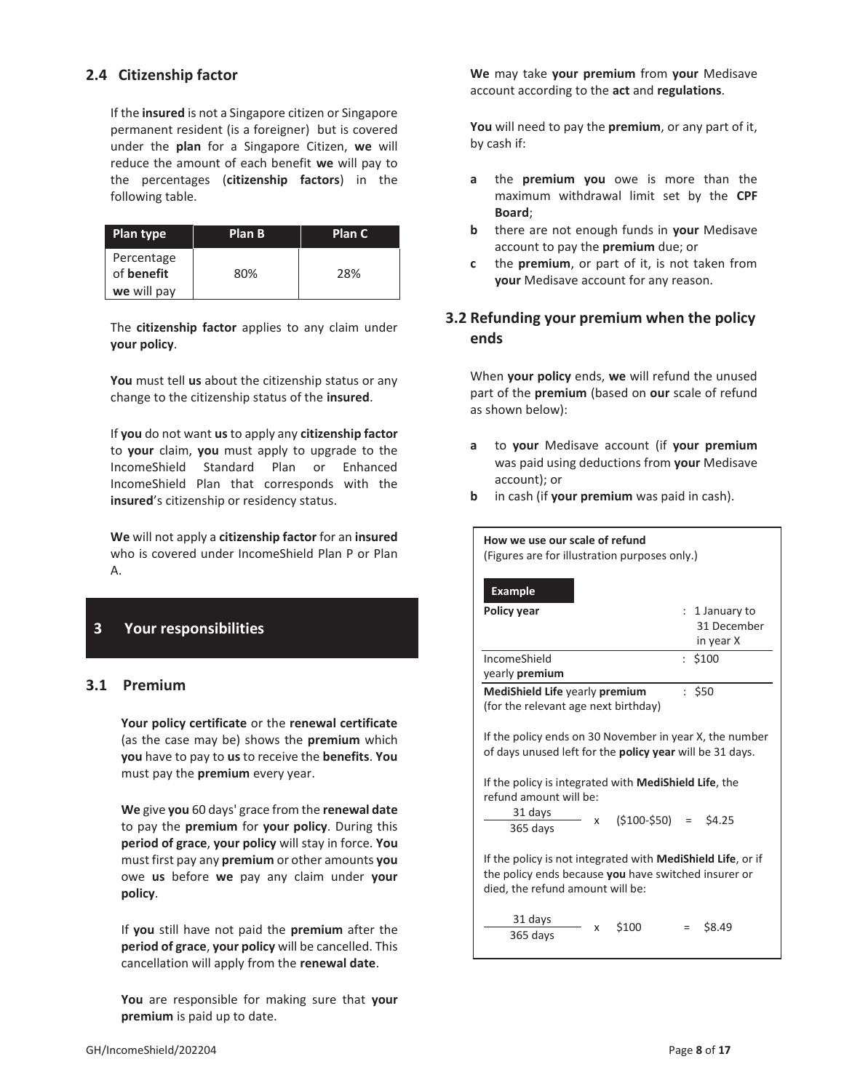### **2.4 Citizenship factor**

If the **insured** is not a Singapore citizen or Singapore permanent resident (is a foreigner) but is covered under the **plan** for a Singapore Citizen, **we** will reduce the amount of each benefit **we** will pay to the percentages (**citizenship factors**) in the following table.

| Plan type                | Plan B | Plan C |
|--------------------------|--------|--------|
| Percentage<br>of benefit | 80%    | 28%    |
| we will pay              |        |        |

The **citizenship factor** applies to any claim under **your policy**.

**You** must tell **us** about the citizenship status or any change to the citizenship status of the **insured**.

If **you** do not want **us** to apply any **citizenship factor** to **your** claim, **you** must apply to upgrade to the IncomeShield Standard Plan or Enhanced IncomeShield Plan that corresponds with the **insured**'s citizenship or residency status.

**We** will not apply a **citizenship factor** for an **insured** who is covered under IncomeShield Plan P or Plan A.

# **3 Your responsibilities**

### **3.1 Premium**

**Your policy certificate** or the **renewal certificate** (as the case may be) shows the **premium** which **you** have to pay to **us** to receive the **benefits**. **You** must pay the **premium** every year.

**We** give **you** 60 days' grace from the **renewal date** to pay the **premium** for **your policy**. During this **period of grace**, **your policy** will stay in force. **You** must first pay any **premium** or other amounts **you** owe **us** before **we** pay any claim under **your policy**.

If **you** still have not paid the **premium** after the **period of grace**, **your policy** will be cancelled. This cancellation will apply from the **renewal date**.

**You** are responsible for making sure that **your premium** is paid up to date.

**We** may take **your premium** from **your** Medisave account according to the **act** and **regulations**.

**You** will need to pay the **premium**, or any part of it, by cash if:

- **a** the **premium you** owe is more than the maximum withdrawal limit set by the **CPF Board**;
- **b** there are not enough funds in **your** Medisave account to pay the **premium** due; or
- **c** the **premium**, or part of it, is not taken from **your** Medisave account for any reason.

# **3.2 Refunding your premium when the policy ends**

When **your policy** ends, **we** will refund the unused part of the **premium** (based on **our** scale of refund as shown below):

- **a** to **your** Medisave account (if **your premium** was paid using deductions from **your** Medisave account); or
- **b** in cash (if **your premium** was paid in cash).

| How we use our scale of refund<br>(Figures are for illustration purposes only.)                                                                                 |                                          |  |  |
|-----------------------------------------------------------------------------------------------------------------------------------------------------------------|------------------------------------------|--|--|
| <b>Example</b>                                                                                                                                                  |                                          |  |  |
| <b>Policy year</b>                                                                                                                                              | 1 January to<br>31 December<br>in year X |  |  |
| IncomeShield<br>yearly <b>premium</b>                                                                                                                           | : \$100                                  |  |  |
| : \$50<br>MediShield Life yearly premium<br>(for the relevant age next birthday)                                                                                |                                          |  |  |
| If the policy ends on 30 November in year X, the number<br>of days unused left for the <b>policy year</b> will be 31 days.                                      |                                          |  |  |
| If the policy is integrated with <b>MediShield Life</b> , the<br>refund amount will be:                                                                         |                                          |  |  |
| 31 days<br>X<br>365 days                                                                                                                                        | $(5100-550) = 54.25$                     |  |  |
| If the policy is not integrated with <b>MediShield Life</b> , or if<br>the policy ends because you have switched insurer or<br>died, the refund amount will be: |                                          |  |  |
| 31 days<br>\$100<br>x<br>365 days                                                                                                                               | \$8.49                                   |  |  |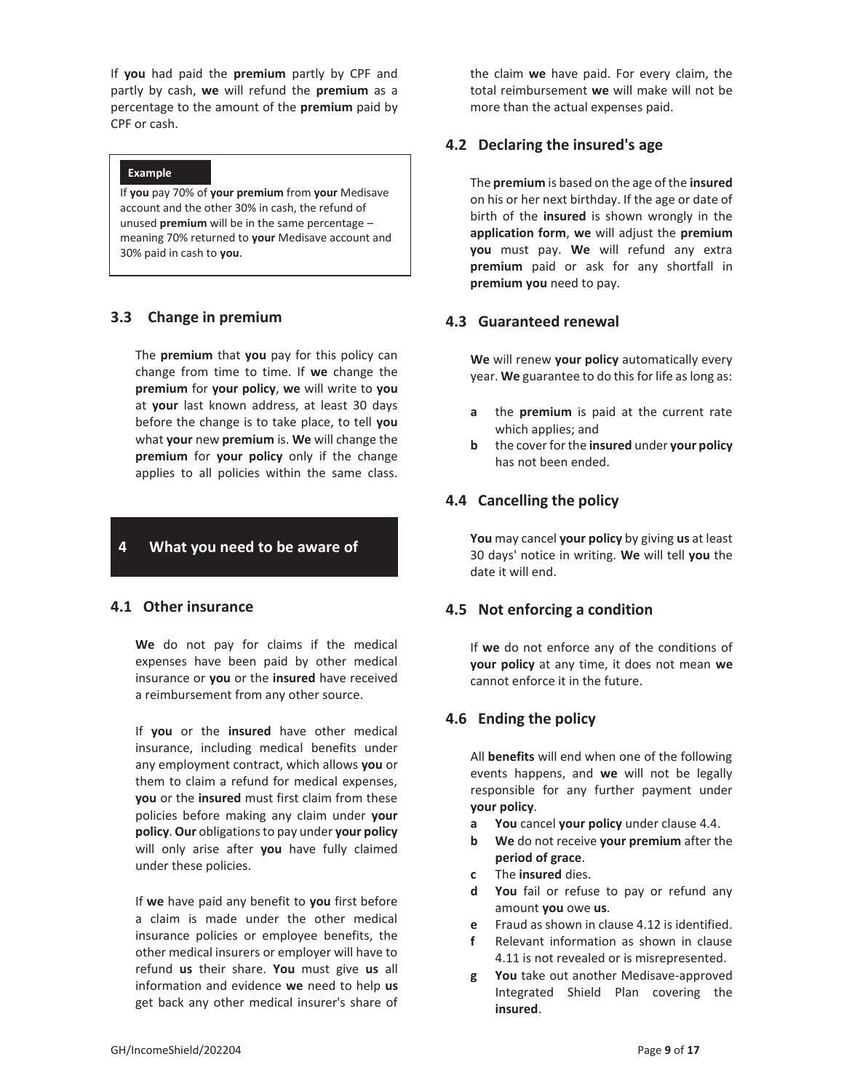If **you** had paid the **premium** partly by CPF and partly by cash, **we** will refund the **premium** as a percentage to the amount of the **premium** paid by CPF or cash.

#### **Example**

If **you** pay 70% of **your premium** from **your** Medisave account and the other 30% in cash, the refund of unused **premium** will be in the same percentage – meaning 70% returned to **your** Medisave account and 30% paid in cash to **you**.

### **3.3 Change in premium**

The **premium** that **you** pay for this policy can change from time to time. If **we** change the **premium** for **your policy**, **we** will write to **you** at **your** last known address, at least 30 days before the change is to take place, to tell **you** what **your** new **premium** is. **We** will change the **premium** for **your policy** only if the change applies to all policies within the same class.

### **4 What you need to be aware of**

### **4.1 Other insurance**

**We** do not pay for claims if the medical expenses have been paid by other medical insurance or **you** or the **insured** have received a reimbursement from any other source.

If **you** or the **insured** have other medical insurance, including medical benefits under any employment contract, which allows **you** or them to claim a refund for medical expenses, **you** or the **insured** must first claim from these policies before making any claim under **your policy**. **Our** obligations to pay under **your policy** will only arise after **you** have fully claimed under these policies.

If **we** have paid any benefit to **you** first before a claim is made under the other medical insurance policies or employee benefits, the other medical insurers or employer will have to refund **us** their share. **You** must give **us** all information and evidence **we** need to help **us** get back any other medical insurer's share of

the claim **we** have paid. For every claim, the total reimbursement **we** will make will not be more than the actual expenses paid.

### **4.2 Declaring the insured's age**

The **premium** is based on the age of the **insured** on his or her next birthday. If the age or date of birth of the **insured** is shown wrongly in the **application form**, **we** will adjust the **premium you** must pay. **We** will refund any extra **premium** paid or ask for any shortfall in **premium you** need to pay.

#### **4.3 Guaranteed renewal**

**We** will renew **your policy** automatically every year. **We** guarantee to do this for life as long as:

- **a** the **premium** is paid at the current rate which applies; and
- **b** the cover for the **insured** under **your policy** has not been ended.

### **4.4 Cancelling the policy**

**You** may cancel **your policy** by giving **us** at least 30 days' notice in writing. **We** will tell **you** the date it will end.

### **4.5 Not enforcing a condition**

If **we** do not enforce any of the conditions of **your policy** at any time, it does not mean **we** cannot enforce it in the future.

### **4.6 Ending the policy**

All **benefits** will end when one of the following events happens, and **we** will not be legally responsible for any further payment under **your policy**.

- **a You** cancel **your policy** under clause 4.4.
- **b We** do not receive **your premium** after the **period of grace**.
- **c** The **insured** dies.
- **d You** fail or refuse to pay or refund any amount **you** owe **us**.
- **e** Fraud as shown in clause 4.12 is identified.
- **f** Relevant information as shown in clause 4.11 is not revealed or is misrepresented.
- **g You** take out another Medisave-approved Integrated Shield Plan covering the **insured**.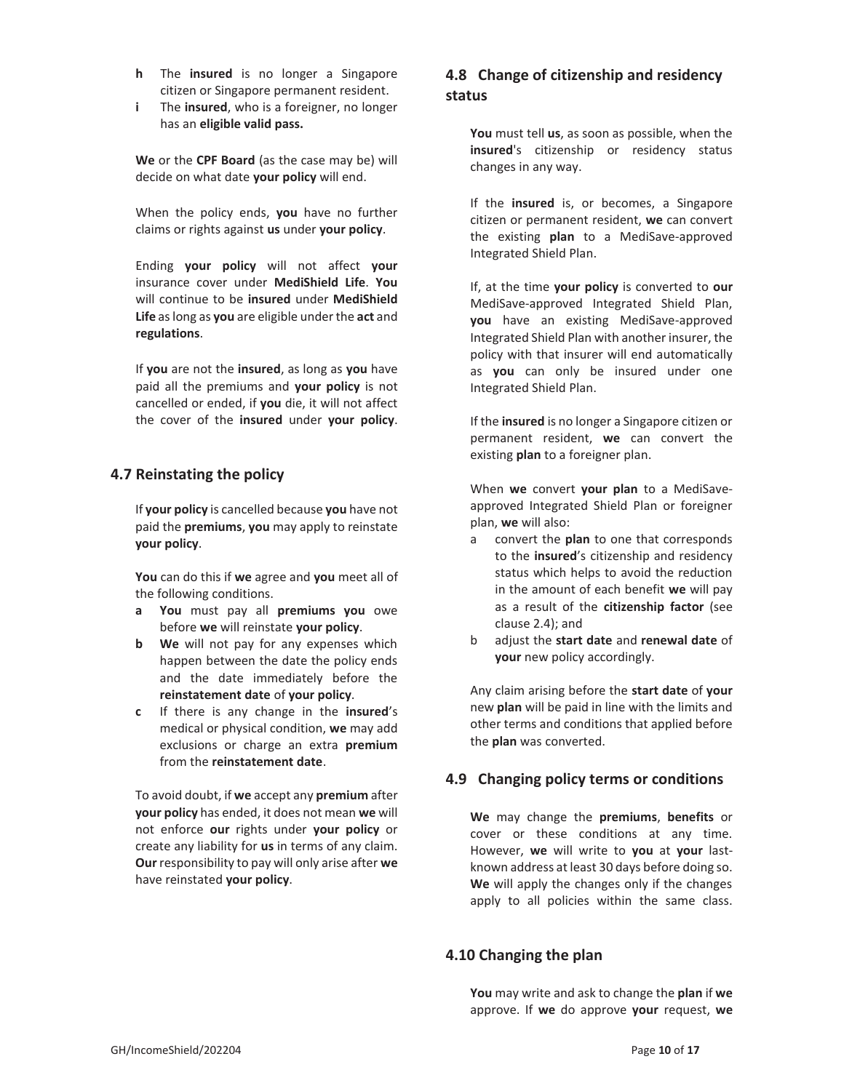- **h** The **insured** is no longer a Singapore citizen or Singapore permanent resident.
- **i** The **insured**, who is a foreigner, no longer has an **eligible valid pass.**

**We** or the **CPF Board** (as the case may be) will decide on what date **your policy** will end.

When the policy ends, **you** have no further claims or rights against **us** under **your policy**.

Ending **your policy** will not affect **your** insurance cover under **MediShield Life**. **You** will continue to be **insured** under **MediShield Life** as long as **you** are eligible under the **act** and **regulations**.

If **you** are not the **insured**, as long as **you** have paid all the premiums and **your policy** is not cancelled or ended, if **you** die, it will not affect the cover of the **insured** under **your policy**.

# **4.7 Reinstating the policy**

If **your policy** is cancelled because **you** have not paid the **premiums**, **you** may apply to reinstate **your policy**.

**You** can do this if **we** agree and **you** meet all of the following conditions.

- **a You** must pay all **premiums you** owe before **we** will reinstate **your policy**.
- **b We** will not pay for any expenses which happen between the date the policy ends and the date immediately before the **reinstatement date** of **your policy**.
- **c** If there is any change in the **insured**'s medical or physical condition, **we** may add exclusions or charge an extra **premium** from the **reinstatement date**.

To avoid doubt, if **we** accept any **premium** after **your policy** has ended, it does not mean **we** will not enforce **our** rights under **your policy** or create any liability for **us** in terms of any claim. **Our** responsibility to pay will only arise after **we** have reinstated **your policy**.

# **4.8 Change of citizenship and residency status**

**You** must tell **us**, as soon as possible, when the **insured**'s citizenship or residency status changes in any way.

If the **insured** is, or becomes, a Singapore citizen or permanent resident, **we** can convert the existing **plan** to a MediSave-approved Integrated Shield Plan.

If, at the time **your policy** is converted to **our** MediSave-approved Integrated Shield Plan, **you** have an existing MediSave-approved Integrated Shield Plan with another insurer, the policy with that insurer will end automatically as **you** can only be insured under one Integrated Shield Plan.

If the **insured** is no longer a Singapore citizen or permanent resident, **we** can convert the existing **plan** to a foreigner plan.

When **we** convert **your plan** to a MediSaveapproved Integrated Shield Plan or foreigner plan, **we** will also:

- a convert the **plan** to one that corresponds to the **insured**'s citizenship and residency status which helps to avoid the reduction in the amount of each benefit **we** will pay as a result of the **citizenship factor** (see clause 2.4); and
- b adjust the **start date** and **renewal date** of **your** new policy accordingly.

Any claim arising before the **start date** of **your**  new **plan** will be paid in line with the limits and other terms and conditions that applied before the **plan** was converted.

# **4.9 Changing policy terms or conditions**

**We** may change the **premiums**, **benefits** or cover or these conditions at any time. However, **we** will write to **you** at **your** lastknown address at least 30 days before doing so. **We** will apply the changes only if the changes apply to all policies within the same class.

# **4.10 Changing the plan**

**You** may write and ask to change the **plan** if **we** approve. If **we** do approve **your** request, **we**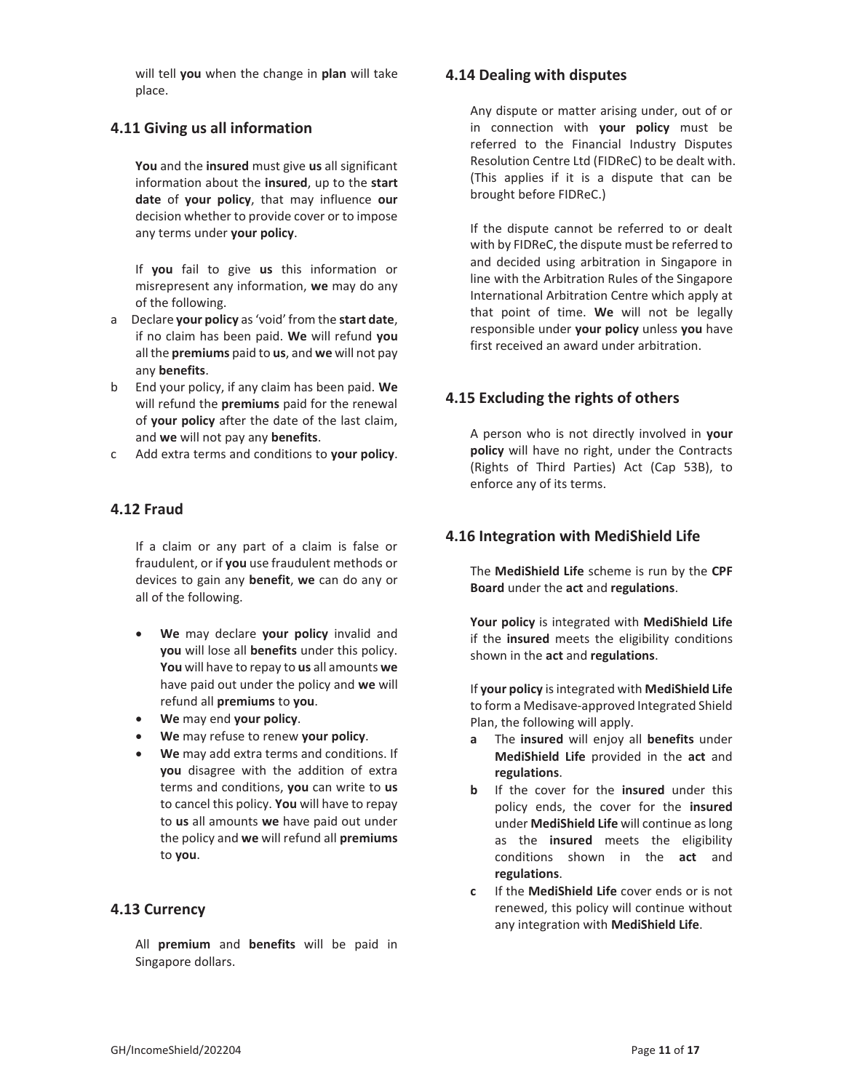will tell **you** when the change in **plan** will take place.

### **4.11 Giving us all information**

**You** and the **insured** must give **us** all significant information about the **insured**, up to the **start date** of **your policy**, that may influence **our** decision whether to provide cover or to impose any terms under **your policy**.

If **you** fail to give **us** this information or misrepresent any information, **we** may do any of the following.

- a Declare **your policy** as 'void' from the **start date**, if no claim has been paid. **We** will refund **you** all the **premiums** paid to **us**, and **we** will not pay any **benefits**.
- b End your policy, if any claim has been paid. **We** will refund the **premiums** paid for the renewal of **your policy** after the date of the last claim, and **we** will not pay any **benefits**.
- c Add extra terms and conditions to **your policy**.

### **4.12 Fraud**

If a claim or any part of a claim is false or fraudulent, or if **you** use fraudulent methods or devices to gain any **benefit**, **we** can do any or all of the following.

- x **We** may declare **your policy** invalid and **you** will lose all **benefits** under this policy. **You** will have to repay to **us** all amounts **we** have paid out under the policy and **we** will refund all **premiums** to **you**.
- x **We** may end **your policy**.
- x **We** may refuse to renew **your policy**.
- x **We** may add extra terms and conditions. If **you** disagree with the addition of extra terms and conditions, **you** can write to **us** to cancel this policy. **You** will have to repay to **us** all amounts **we** have paid out under the policy and **we** will refund all **premiums** to **you**.

### **4.13 Currency**

All **premium** and **benefits** will be paid in Singapore dollars.

### **4.14 Dealing with disputes**

Any dispute or matter arising under, out of or in connection with **your policy** must be referred to the Financial Industry Disputes Resolution Centre Ltd (FIDReC) to be dealt with. (This applies if it is a dispute that can be brought before FIDReC.)

If the dispute cannot be referred to or dealt with by FIDReC, the dispute must be referred to and decided using arbitration in Singapore in line with the Arbitration Rules of the Singapore International Arbitration Centre which apply at that point of time. **We** will not be legally responsible under **your policy** unless **you** have first received an award under arbitration.

### **4.15 Excluding the rights of others**

A person who is not directly involved in **your policy** will have no right, under the Contracts (Rights of Third Parties) Act (Cap 53B), to enforce any of its terms.

### **4.16 Integration with MediShield Life**

The **MediShield Life** scheme is run by the **CPF Board** under the **act** and **regulations**.

**Your policy** is integrated with **MediShield Life** if the **insured** meets the eligibility conditions shown in the **act** and **regulations**.

If **your policy** is integrated with **MediShield Life** to form a Medisave-approved Integrated Shield Plan, the following will apply.

- **a** The **insured** will enjoy all **benefits** under **MediShield Life** provided in the **act** and **regulations**.
- **b** If the cover for the **insured** under this policy ends, the cover for the **insured** under **MediShield Life** will continue as long as the **insured** meets the eligibility conditions shown in the **act** and **regulations**.
- **c** If the **MediShield Life** cover ends or is not renewed, this policy will continue without any integration with **MediShield Life**.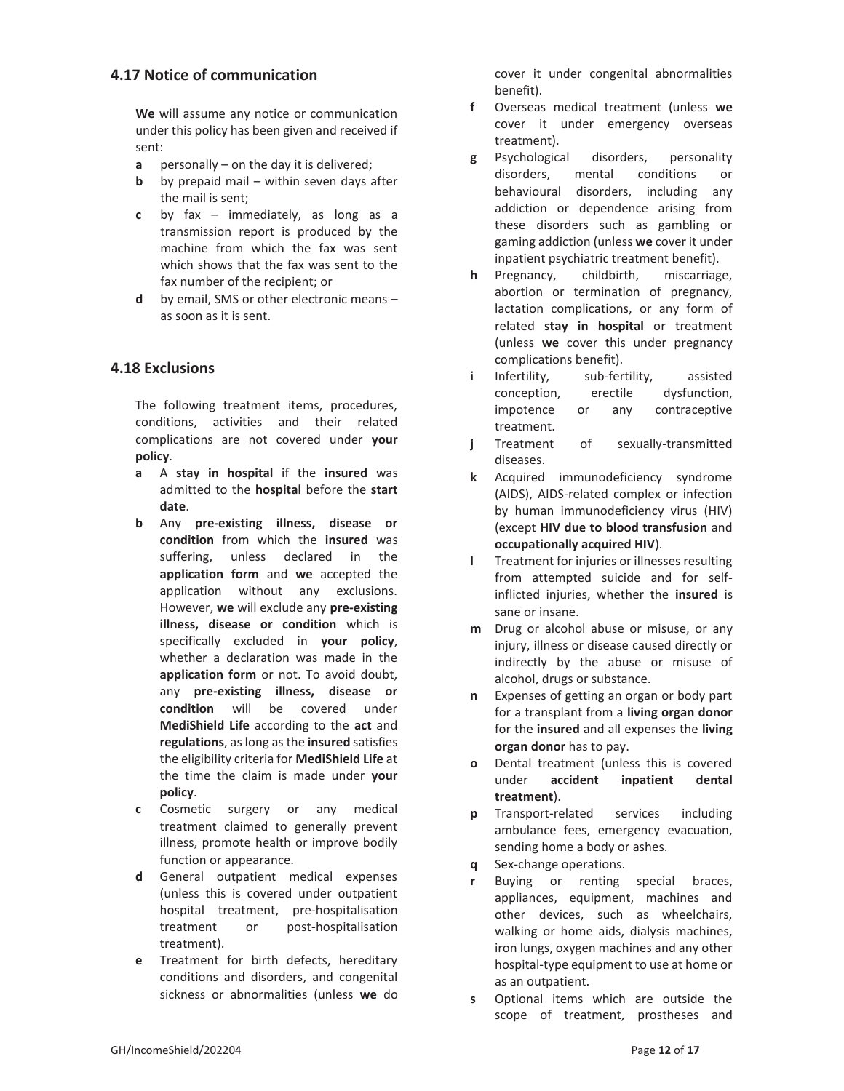### **4.17 Notice of communication**

**We** will assume any notice or communication under this policy has been given and received if sent:

- **a** personally on the day it is delivered;
- **b** by prepaid mail within seven days after the mail is sent;
- **c** by fax immediately, as long as a transmission report is produced by the machine from which the fax was sent which shows that the fax was sent to the fax number of the recipient; or
- **d** by email, SMS or other electronic means as soon as it is sent.

### **4.18 Exclusions**

The following treatment items, procedures, conditions, activities and their related complications are not covered under **your policy**.

- **a** A **stay in hospital** if the **insured** was admitted to the **hospital** before the **start date**.
- **b** Any **pre-existing illness, disease or condition** from which the **insured** was suffering, unless declared in the **application form** and **we** accepted the application without any exclusions. However, **we** will exclude any **pre-existing illness, disease or condition** which is specifically excluded in **your policy**, whether a declaration was made in the **application form** or not. To avoid doubt, any **pre-existing illness, disease or condition** will be covered under **MediShield Life** according to the **act** and **regulations**, as long as the **insured** satisfies the eligibility criteria for **MediShield Life** at the time the claim is made under **your policy**.
- **c** Cosmetic surgery or any medical treatment claimed to generally prevent illness, promote health or improve bodily function or appearance.
- **d** General outpatient medical expenses (unless this is covered under outpatient hospital treatment, pre-hospitalisation treatment or post-hospitalisation treatment).
- **e** Treatment for birth defects, hereditary conditions and disorders, and congenital sickness or abnormalities (unless **we** do

cover it under congenital abnormalities benefit).

- **f** Overseas medical treatment (unless **we** cover it under emergency overseas treatment).
- **g** Psychological disorders, personality disorders, mental conditions or behavioural disorders, including any addiction or dependence arising from these disorders such as gambling or gaming addiction (unless **we** cover it under inpatient psychiatric treatment benefit).
- **h** Pregnancy, childbirth, miscarriage, abortion or termination of pregnancy, lactation complications, or any form of related **stay in hospital** or treatment (unless **we** cover this under pregnancy complications benefit).
- **i** Infertility, sub-fertility, assisted conception, erectile dysfunction, impotence or any contraceptive treatment.
- **j** Treatment of sexually-transmitted diseases.
- **k** Acquired immunodeficiency syndrome (AIDS), AIDS-related complex or infection by human immunodeficiency virus (HIV) (except **HIV due to blood transfusion** and **occupationally acquired HIV**).
- **l** Treatment for injuries or illnesses resulting from attempted suicide and for selfinflicted injuries, whether the **insured** is sane or insane.
- **m** Drug or alcohol abuse or misuse, or any injury, illness or disease caused directly or indirectly by the abuse or misuse of alcohol, drugs or substance.
- **n** Expenses of getting an organ or body part for a transplant from a **living organ donor** for the **insured** and all expenses the **living organ donor** has to pay.
- **o** Dental treatment (unless this is covered under **accident inpatient dental treatment**).
- **p** Transport-related services including ambulance fees, emergency evacuation, sending home a body or ashes.
- **q** Sex-change operations.
- **r** Buying or renting special braces, appliances, equipment, machines and other devices, such as wheelchairs, walking or home aids, dialysis machines, iron lungs, oxygen machines and any other hospital-type equipment to use at home or as an outpatient.
- **s** Optional items which are outside the scope of treatment, prostheses and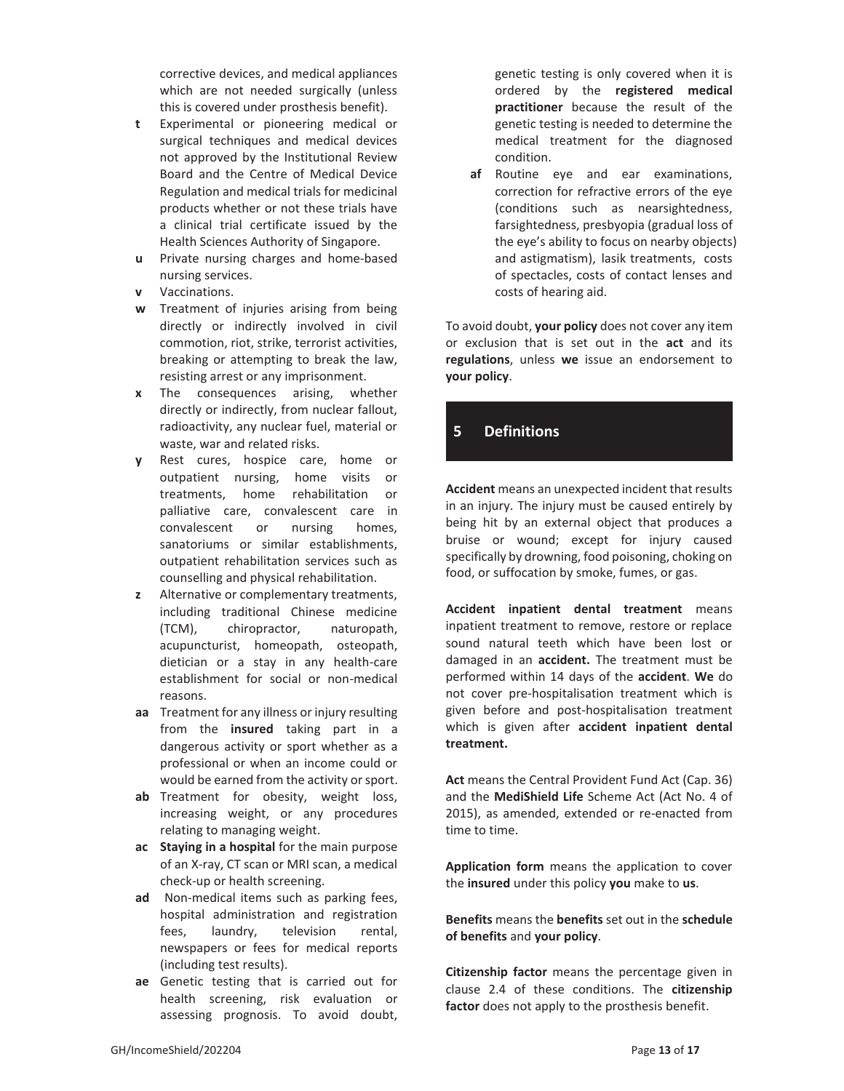corrective devices, and medical appliances which are not needed surgically (unless this is covered under prosthesis benefit).

- **t** Experimental or pioneering medical or surgical techniques and medical devices not approved by the Institutional Review Board and the Centre of Medical Device Regulation and medical trials for medicinal products whether or not these trials have a clinical trial certificate issued by the Health Sciences Authority of Singapore.
- **u** Private nursing charges and home-based nursing services.
- **v** Vaccinations.
- **w** Treatment of injuries arising from being directly or indirectly involved in civil commotion, riot, strike, terrorist activities, breaking or attempting to break the law, resisting arrest or any imprisonment.
- **x** The consequences arising, whether directly or indirectly, from nuclear fallout, radioactivity, any nuclear fuel, material or waste, war and related risks.
- **y** Rest cures, hospice care, home or outpatient nursing, home visits or treatments, home rehabilitation or palliative care, convalescent care in convalescent or nursing homes, sanatoriums or similar establishments, outpatient rehabilitation services such as counselling and physical rehabilitation.
- **z** Alternative or complementary treatments, including traditional Chinese medicine (TCM), chiropractor, naturopath, acupuncturist, homeopath, osteopath, dietician or a stay in any health-care establishment for social or non-medical reasons.
- **aa** Treatment for any illness or injury resulting from the **insured** taking part in a dangerous activity or sport whether as a professional or when an income could or would be earned from the activity or sport.
- **ab** Treatment for obesity, weight loss, increasing weight, or any procedures relating to managing weight.
- **ac Staying in a hospital** for the main purpose of an X-ray, CT scan or MRI scan, a medical check-up or health screening.
- **ad** Non-medical items such as parking fees, hospital administration and registration fees, laundry, television rental, newspapers or fees for medical reports (including test results).
- **ae** Genetic testing that is carried out for health screening, risk evaluation or assessing prognosis. To avoid doubt,

genetic testing is only covered when it is ordered by the **registered medical practitioner** because the result of the genetic testing is needed to determine the medical treatment for the diagnosed condition.

**af** Routine eye and ear examinations, correction for refractive errors of the eye (conditions such as nearsightedness, farsightedness, presbyopia (gradual loss of the eye's ability to focus on nearby objects) and astigmatism), lasik treatments, costs of spectacles, costs of contact lenses and costs of hearing aid.

To avoid doubt, **your policy** does not cover any item or exclusion that is set out in the **act** and its **regulations**, unless **we** issue an endorsement to **your policy**.

# **5 Definitions**

**Accident** means an unexpected incident that results in an injury. The injury must be caused entirely by being hit by an external object that produces a bruise or wound; except for injury caused specifically by drowning, food poisoning, choking on food, or suffocation by smoke, fumes, or gas.

**Accident inpatient dental treatment** means inpatient treatment to remove, restore or replace sound natural teeth which have been lost or damaged in an **accident.** The treatment must be performed within 14 days of the **accident**. **We** do not cover pre-hospitalisation treatment which is given before and post-hospitalisation treatment which is given after **accident inpatient dental treatment.** 

**Act** means the Central Provident Fund Act (Cap. 36) and the **MediShield Life** Scheme Act (Act No. 4 of 2015), as amended, extended or re-enacted from time to time.

**Application form** means the application to cover the **insured** under this policy **you** make to **us**.

**Benefits** means the **benefits** set out in the **schedule of benefits** and **your policy**.

**Citizenship factor** means the percentage given in clause 2.4 of these conditions. The **citizenship factor** does not apply to the prosthesis benefit.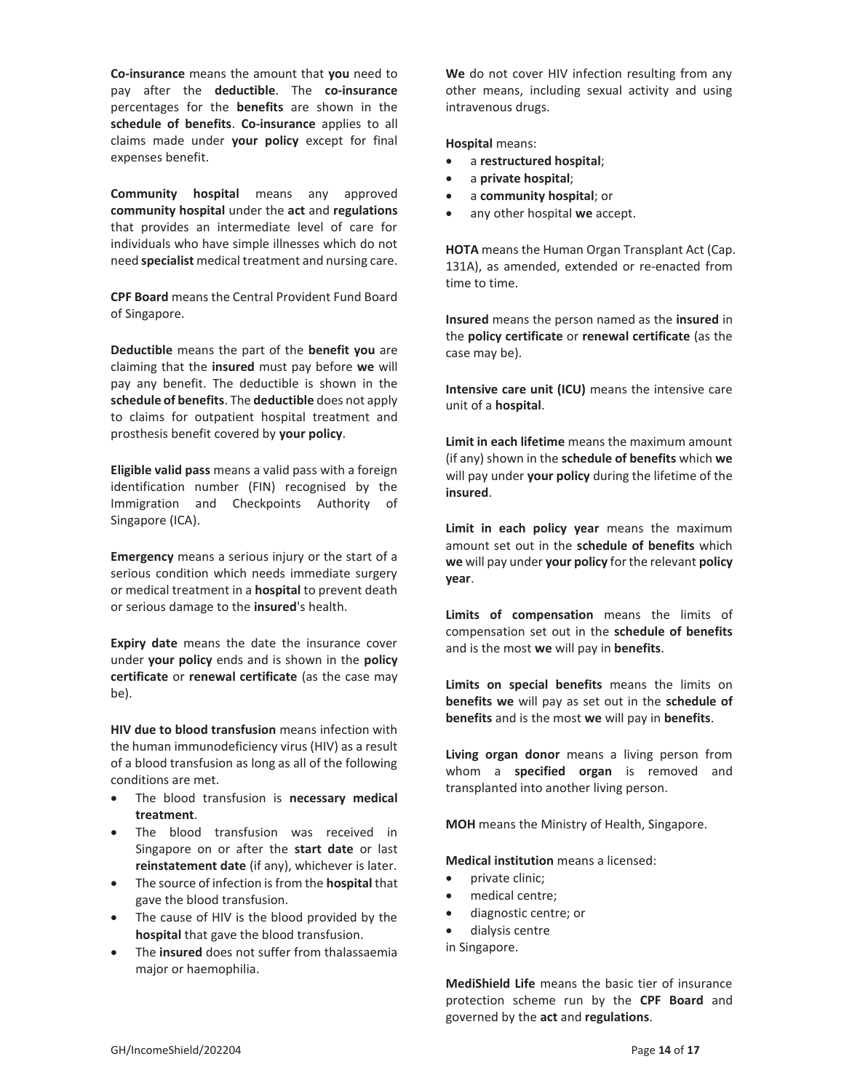**Co-insurance** means the amount that **you** need to pay after the **deductible**. The **co-insurance** percentages for the **benefits** are shown in the **schedule of benefits**. **Co-insurance** applies to all claims made under **your policy** except for final expenses benefit.

**Community hospital** means any approved **community hospital** under the **act** and **regulations** that provides an intermediate level of care for individuals who have simple illnesses which do not need **specialist** medical treatment and nursing care.

**CPF Board** means the Central Provident Fund Board of Singapore.

**Deductible** means the part of the **benefit you** are claiming that the **insured** must pay before **we** will pay any benefit. The deductible is shown in the **schedule of benefits**. The **deductible** does not apply to claims for outpatient hospital treatment and prosthesis benefit covered by **your policy**.

**Eligible valid pass** means a valid pass with a foreign identification number (FIN) recognised by the Immigration and Checkpoints Authority of Singapore (ICA).

**Emergency** means a serious injury or the start of a serious condition which needs immediate surgery or medical treatment in a **hospital** to prevent death or serious damage to the **insured**'s health.

**Expiry date** means the date the insurance cover under **your policy** ends and is shown in the **policy certificate** or **renewal certificate** (as the case may be).

**HIV due to blood transfusion** means infection with the human immunodeficiency virus (HIV) as a result of a blood transfusion as long as all of the following conditions are met.

- x The blood transfusion is **necessary medical treatment**.
- The blood transfusion was received in Singapore on or after the **start date** or last **reinstatement date** (if any), whichever is later.
- x The source of infection is from the **hospital** that gave the blood transfusion.
- The cause of HIV is the blood provided by the **hospital** that gave the blood transfusion.
- The *insured* does not suffer from thalassaemia major or haemophilia.

**We** do not cover HIV infection resulting from any other means, including sexual activity and using intravenous drugs.

**Hospital** means:

- x a **restructured hospital**;
- x a **private hospital**;
- x a **community hospital**; or
- any other hospital we accept.

**HOTA** means the Human Organ Transplant Act (Cap. 131A), as amended, extended or re-enacted from time to time.

**Insured** means the person named as the **insured** in the **policy certificate** or **renewal certificate** (as the case may be).

**Intensive care unit (ICU)** means the intensive care unit of a **hospital**.

**Limit in each lifetime** means the maximum amount (if any) shown in the **schedule of benefits** which **we** will pay under **your policy** during the lifetime of the **insured**.

**Limit in each policy year** means the maximum amount set out in the **schedule of benefits** which **we** will pay under **your policy** for the relevant **policy year**.

**Limits of compensation** means the limits of compensation set out in the **schedule of benefits** and is the most **we** will pay in **benefits**.

**Limits on special benefits** means the limits on **benefits we** will pay as set out in the **schedule of benefits** and is the most **we** will pay in **benefits**.

**Living organ donor** means a living person from whom a **specified organ** is removed and transplanted into another living person.

**MOH** means the Ministry of Health, Singapore.

**Medical institution** means a licensed:

- private clinic;
- medical centre;
- diagnostic centre; or
- dialysis centre
- in Singapore.

**MediShield Life** means the basic tier of insurance protection scheme run by the **CPF Board** and governed by the **act** and **regulations**.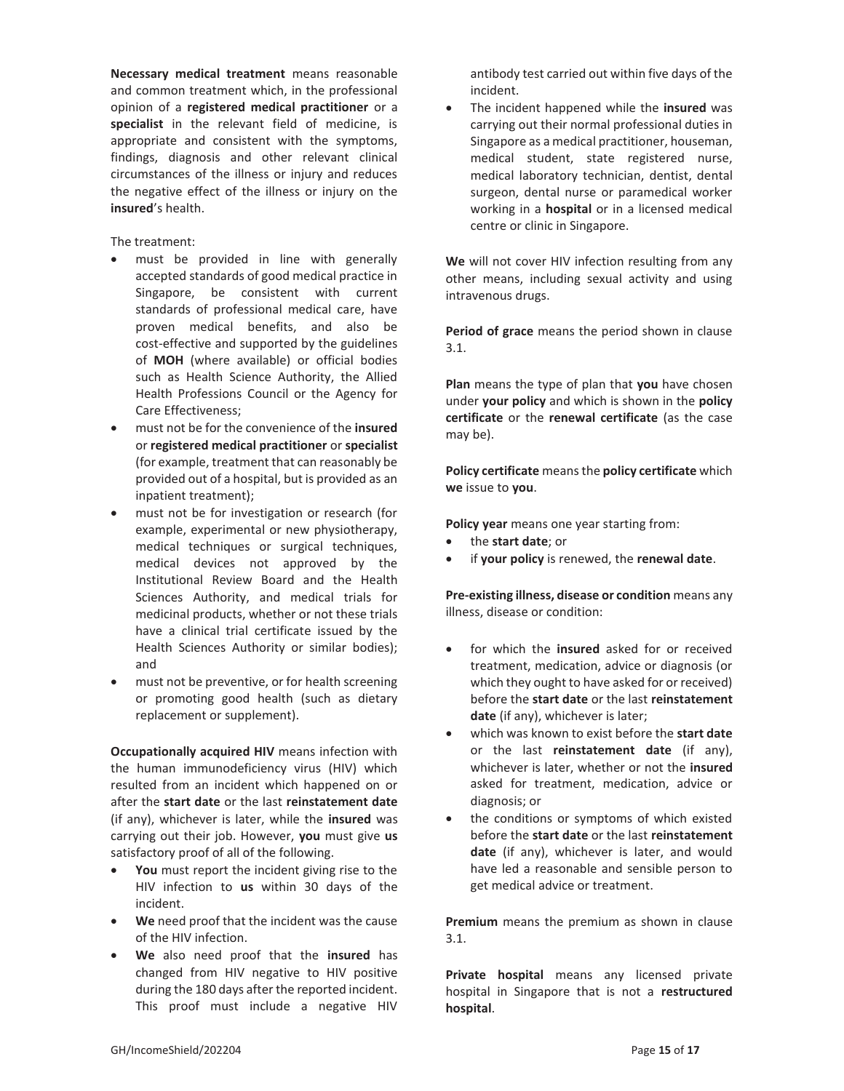**Necessary medical treatment** means reasonable and common treatment which, in the professional opinion of a **registered medical practitioner** or a **specialist** in the relevant field of medicine, is appropriate and consistent with the symptoms, findings, diagnosis and other relevant clinical circumstances of the illness or injury and reduces the negative effect of the illness or injury on the **insured**'s health.

The treatment:

- must be provided in line with generally accepted standards of good medical practice in Singapore, be consistent with current standards of professional medical care, have proven medical benefits, and also be cost-effective and supported by the guidelines of **MOH** (where available) or official bodies such as Health Science Authority, the Allied Health Professions Council or the Agency for Care Effectiveness;
- x must not be for the convenience of the **insured** or **registered medical practitioner** or **specialist**  (for example, treatment that can reasonably be provided out of a hospital, but is provided as an inpatient treatment);
- must not be for investigation or research (for example, experimental or new physiotherapy, medical techniques or surgical techniques, medical devices not approved by the Institutional Review Board and the Health Sciences Authority, and medical trials for medicinal products, whether or not these trials have a clinical trial certificate issued by the Health Sciences Authority or similar bodies); and
- must not be preventive, or for health screening or promoting good health (such as dietary replacement or supplement).

**Occupationally acquired HIV** means infection with the human immunodeficiency virus (HIV) which resulted from an incident which happened on or after the **start date** or the last **reinstatement date** (if any), whichever is later, while the **insured** was carrying out their job. However, **you** must give **us** satisfactory proof of all of the following.

- You must report the incident giving rise to the HIV infection to **us** within 30 days of the incident.
- **We** need proof that the incident was the cause of the HIV infection.
- x **We** also need proof that the **insured** has changed from HIV negative to HIV positive during the 180 days after the reported incident. This proof must include a negative HIV

antibody test carried out within five days of the incident.

**•** The incident happened while the **insured** was carrying out their normal professional duties in Singapore as a medical practitioner, houseman, medical student, state registered nurse, medical laboratory technician, dentist, dental surgeon, dental nurse or paramedical worker working in a **hospital** or in a licensed medical centre or clinic in Singapore.

**We** will not cover HIV infection resulting from any other means, including sexual activity and using intravenous drugs.

**Period of grace** means the period shown in clause 3.1.

**Plan** means the type of plan that **you** have chosen under **your policy** and which is shown in the **policy certificate** or the **renewal certificate** (as the case may be).

**Policy certificate** means the **policy certificate** which **we** issue to **you**.

**Policy year** means one year starting from:

- x the **start date**; or
- if your policy is renewed, the renewal date.

**Pre-existing illness, disease or condition** means any illness, disease or condition:

- for which the **insured** asked for or received treatment, medication, advice or diagnosis (or which they ought to have asked for or received) before the **start date** or the last **reinstatement date** (if any), whichever is later;
- x which was known to exist before the **start date** or the last **reinstatement date** (if any), whichever is later, whether or not the **insured** asked for treatment, medication, advice or diagnosis; or
- the conditions or symptoms of which existed before the **start date** or the last **reinstatement date** (if any), whichever is later, and would have led a reasonable and sensible person to get medical advice or treatment.

**Premium** means the premium as shown in clause 3.1.

**Private hospital** means any licensed private hospital in Singapore that is not a **restructured hospital**.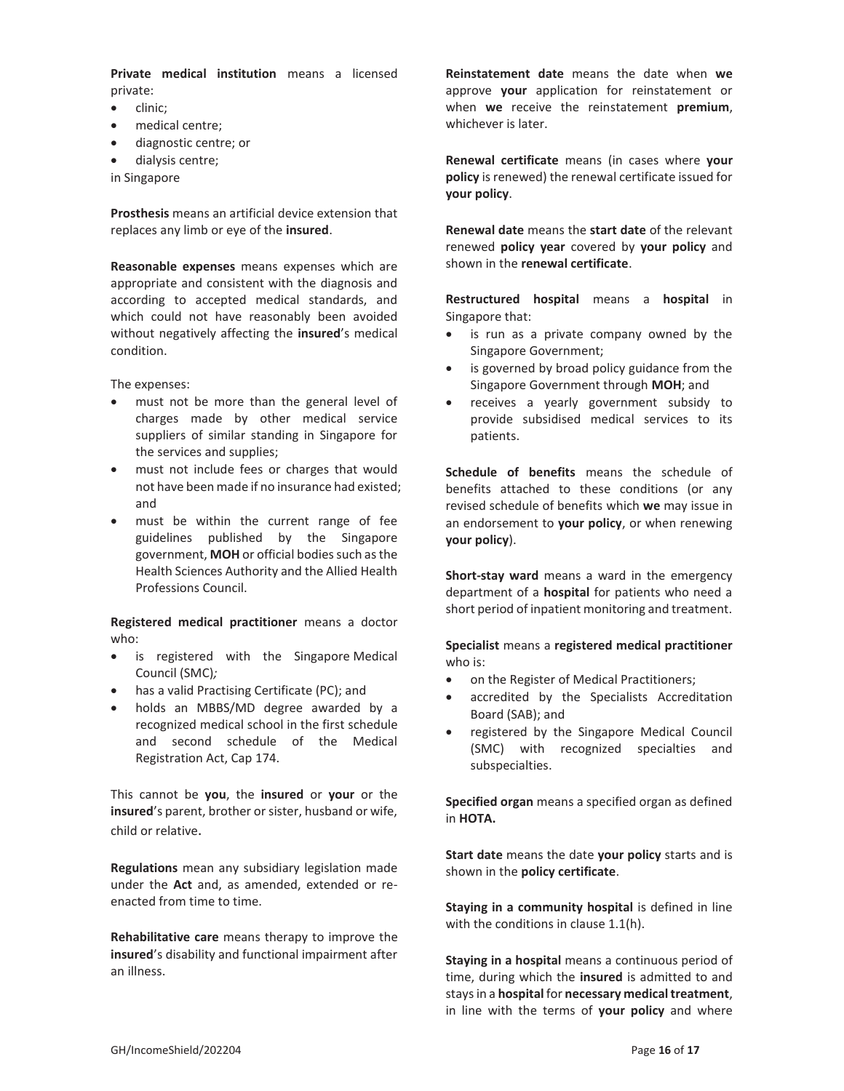**Private medical institution** means a licensed private:

- $\bullet$  clinic;
- medical centre;
- diagnostic centre; or
- dialysis centre;
- in Singapore

**Prosthesis** means an artificial device extension that replaces any limb or eye of the **insured**.

**Reasonable expenses** means expenses which are appropriate and consistent with the diagnosis and according to accepted medical standards, and which could not have reasonably been avoided without negatively affecting the **insured**'s medical condition.

The expenses:

- must not be more than the general level of charges made by other medical service suppliers of similar standing in Singapore for the services and supplies;
- must not include fees or charges that would not have been made if no insurance had existed; and
- must be within the current range of fee guidelines published by the Singapore government, **MOH** or official bodies such as the Health Sciences Authority and the Allied Health Professions Council.

**Registered medical practitioner** means a doctor who:

- is registered with the Singapore-Medical Council (SMC)*;*
- has a valid Practising Certificate (PC); and
- holds an MBBS/MD degree awarded by a recognized medical school in the first schedule and second schedule of the Medical Registration Act, Cap 174.

This cannot be **you**, the **insured** or **your** or the **insured**'s parent, brother or sister, husband or wife, child or relative.

**Regulations** mean any subsidiary legislation made under the **Act** and, as amended, extended or reenacted from time to time.

**Rehabilitative care** means therapy to improve the **insured**'s disability and functional impairment after an illness.

**Reinstatement date** means the date when **we** approve **your** application for reinstatement or when **we** receive the reinstatement **premium**, whichever is later.

**Renewal certificate** means (in cases where **your policy** is renewed) the renewal certificate issued for **your policy**.

**Renewal date** means the **start date** of the relevant renewed **policy year** covered by **your policy** and shown in the **renewal certificate**.

**Restructured hospital** means a **hospital** in Singapore that:

- is run as a private company owned by the Singapore Government;
- is governed by broad policy guidance from the Singapore Government through **MOH**; and
- receives a yearly government subsidy to provide subsidised medical services to its patients.

**Schedule of benefits** means the schedule of benefits attached to these conditions (or any revised schedule of benefits which **we** may issue in an endorsement to **your policy**, or when renewing **your policy**).

**Short-stay ward** means a ward in the emergency department of a **hospital** for patients who need a short period of inpatient monitoring and treatment.

**Specialist** means a **registered medical practitioner** who is:

- on the Register of Medical Practitioners;
- accredited by the Specialists Accreditation Board (SAB); and
- registered by the Singapore Medical Council (SMC) with recognized specialties and subspecialties.

**Specified organ** means a specified organ as defined in **HOTA.**

**Start date** means the date **your policy** starts and is shown in the **policy certificate**.

**Staying in a community hospital** is defined in line with the conditions in clause 1.1(h).

**Staying in a hospital** means a continuous period of time, during which the **insured** is admitted to and stays in a **hospital** for **necessary medical treatment**, in line with the terms of **your policy** and where